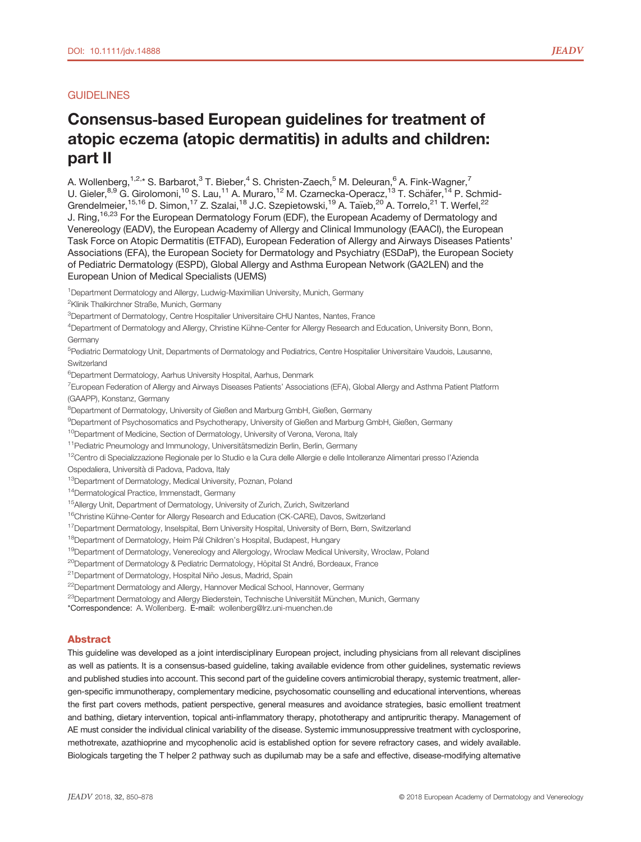# **GUIDELINES**

# Consensus-based European guidelines for treatment of atopic eczema (atopic dermatitis) in adults and children: part II

A. Wollenberg, $^{1,2,*}$  S. Barbarot, $^3$  T. Bieber, $^4$  S. Christen-Zaech, $^5$  M. Deleuran, $^6$  A. Fink-Wagner, $^7$ U. Gieler,<sup>8,9</sup> G. Girolomoni,<sup>10</sup> S. Lau,<sup>11</sup> A. Muraro,<sup>12</sup> M. Czarnecka-Operacz,<sup>13</sup> T. Schäfer,<sup>14</sup> P. Schmid-Grendelmeier,<sup>15,16</sup> D. Simon,<sup>17</sup> Z. Szalai,<sup>18</sup> J.C. Szepietowski,<sup>19</sup> A. Taïeb,<sup>20</sup> A. Torrelo,<sup>21</sup> T. Werfel,<sup>22</sup> J. Ring,<sup>16,23</sup> For the European Dermatology Forum (EDF), the European Academy of Dermatology and Venereology (EADV), the European Academy of Allergy and Clinical Immunology (EAACI), the European Task Force on Atopic Dermatitis (ETFAD), European Federation of Allergy and Airways Diseases Patients' Associations (EFA), the European Society for Dermatology and Psychiatry (ESDaP), the European Society of Pediatric Dermatology (ESPD), Global Allergy and Asthma European Network (GA2LEN) and the European Union of Medical Specialists (UEMS)

<sup>1</sup>Department Dermatology and Allergy, Ludwig-Maximilian University, Munich, Germany

2 Klinik Thalkirchner Straße, Munich, Germany

<sup>3</sup>Department of Dermatology, Centre Hospitalier Universitaire CHU Nantes, Nantes, France

<sup>4</sup>Department of Dermatology and Allergy, Christine Kühne-Center for Allergy Research and Education, University Bonn, Bonn, Germany

<sup>5</sup>Pediatric Dermatology Unit, Departments of Dermatology and Pediatrics, Centre Hospitalier Universitaire Vaudois, Lausanne, Switzerland

6 Department Dermatology, Aarhus University Hospital, Aarhus, Denmark

<sup>7</sup> European Federation of Allergy and Airways Diseases Patients' Associations (EFA), Global Allergy and Asthma Patient Platform (GAAPP), Konstanz, Germany

8 Department of Dermatology, University of Gießen and Marburg GmbH, Gießen, Germany

9 Department of Psychosomatics and Psychotherapy, University of Gießen and Marburg GmbH, Gießen, Germany

<sup>10</sup>Department of Medicine, Section of Dermatology, University of Verona, Verona, Italy

<sup>11</sup> Pediatric Pneumology and Immunology, Universitätsmedizin Berlin, Berlin, Germany

<sup>12</sup>Centro di Specializzazione Regionale per lo Studio e la Cura delle Allergie e delle Intolleranze Alimentari presso l'Azienda

Ospedaliera, Università di Padova, Padova, Italy

<sup>13</sup>Department of Dermatology, Medical University, Poznan, Poland

14Dermatological Practice, Immenstadt, Germany

<sup>15</sup> Allergy Unit, Department of Dermatology, University of Zurich, Zurich, Switzerland

<sup>16</sup>Christine Kühne-Center for Allergy Research and Education (CK-CARE), Davos, Switzerland

<sup>17</sup> Department Dermatology, Inselspital, Bern University Hospital, University of Bern, Bern, Switzerland

<sup>18</sup>Department of Dermatology, Heim Pál Children's Hospital, Budapest, Hungary

<sup>19</sup>Department of Dermatology, Venereology and Allergology, Wroclaw Medical University, Wroclaw, Poland

<sup>20</sup>Department of Dermatology & Pediatric Dermatology, Hôpital St André, Bordeaux, France

<sup>21</sup> Department of Dermatology, Hospital Niño Jesus, Madrid, Spain

<sup>22</sup>Department Dermatology and Allergy, Hannover Medical School, Hannover, Germany

<sup>23</sup>Department Dermatology and Allergy Biederstein, Technische Universität München, Munich, Germany

\*Correspondence: A. Wollenberg. E-mail: wollenberg@lrz.uni-muenchen.de

## Abstract

This guideline was developed as a joint interdisciplinary European project, including physicians from all relevant disciplines as well as patients. It is a consensus-based guideline, taking available evidence from other guidelines, systematic reviews and published studies into account. This second part of the guideline covers antimicrobial therapy, systemic treatment, allergen-specific immunotherapy, complementary medicine, psychosomatic counselling and educational interventions, whereas the first part covers methods, patient perspective, general measures and avoidance strategies, basic emollient treatment and bathing, dietary intervention, topical anti-inflammatory therapy, phototherapy and antipruritic therapy. Management of AE must consider the individual clinical variability of the disease. Systemic immunosuppressive treatment with cyclosporine, methotrexate, azathioprine and mycophenolic acid is established option for severe refractory cases, and widely available. Biologicals targeting the T helper 2 pathway such as dupilumab may be a safe and effective, disease-modifying alternative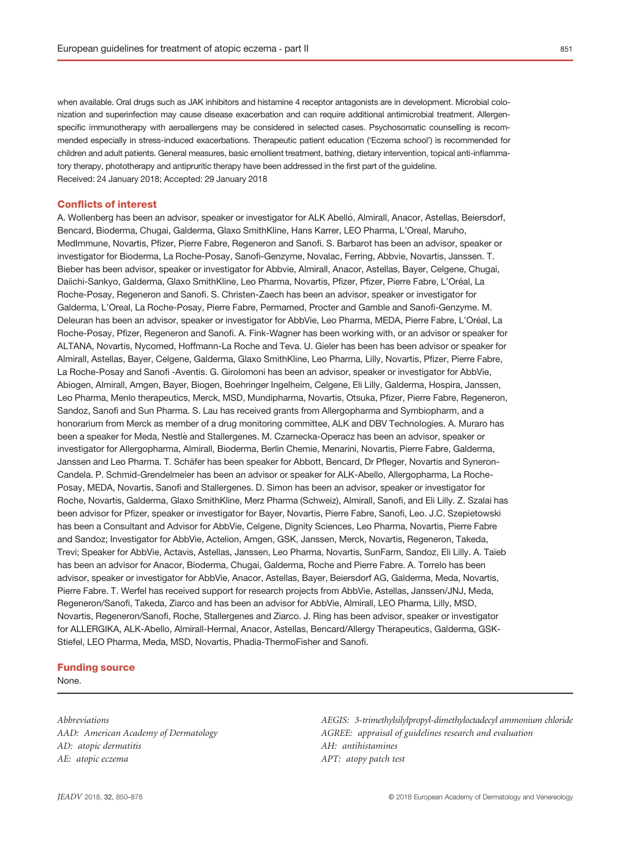when available. Oral drugs such as JAK inhibitors and histamine 4 receptor antagonists are in development. Microbial colonization and superinfection may cause disease exacerbation and can require additional antimicrobial treatment. Allergenspecific immunotherapy with aeroallergens may be considered in selected cases. Psychosomatic counselling is recommended especially in stress-induced exacerbations. Therapeutic patient education ('Eczema school') is recommended for children and adult patients. General measures, basic emollient treatment, bathing, dietary intervention, topical anti-inflammatory therapy, phototherapy and antipruritic therapy have been addressed in the first part of the guideline. Received: 24 January 2018; Accepted: 29 January 2018

## Conflicts of interest

A. Wollenberg has been an advisor, speaker or investigator for ALK Abello, Almirall, Anacor, Astellas, Beiersdorf, Bencard, Bioderma, Chugai, Galderma, Glaxo SmithKline, Hans Karrer, LEO Pharma, L'Oreal, Maruho, MedImmune, Novartis, Pfizer, Pierre Fabre, Regeneron and Sanofi. S. Barbarot has been an advisor, speaker or investigator for Bioderma, La Roche-Posay, Sanofi-Genzyme, Novalac, Ferring, Abbvie, Novartis, Janssen. T. Bieber has been advisor, speaker or investigator for Abbvie, Almirall, Anacor, Astellas, Bayer, Celgene, Chugai, Daiichi-Sankyo, Galderma, Glaxo SmithKline, Leo Pharma, Novartis, Pfizer, Pfizer, Pierre Fabre, L'Oreal, La Roche-Posay, Regeneron and Sanofi. S. Christen-Zaech has been an advisor, speaker or investigator for Galderma, L'Oreal, La Roche-Posay, Pierre Fabre, Permamed, Procter and Gamble and Sanofi-Genzyme. M. Deleuran has been an advisor, speaker or investigator for AbbVie, Leo Pharma, MEDA, Pierre Fabre, L'Oreal, La Roche-Posay, Pfizer, Regeneron and Sanofi. A. Fink-Wagner has been working with, or an advisor or speaker for ALTANA, Novartis, Nycomed, Hoffmann-La Roche and Teva. U. Gieler has been has been advisor or speaker for Almirall, Astellas, Bayer, Celgene, Galderma, Glaxo SmithKline, Leo Pharma, Lilly, Novartis, Pfizer, Pierre Fabre, La Roche-Posay and Sanofi -Aventis. G. Girolomoni has been an advisor, speaker or investigator for AbbVie, Abiogen, Almirall, Amgen, Bayer, Biogen, Boehringer Ingelheim, Celgene, Eli Lilly, Galderma, Hospira, Janssen, Leo Pharma, Menlo therapeutics, Merck, MSD, Mundipharma, Novartis, Otsuka, Pfizer, Pierre Fabre, Regeneron, Sandoz, Sanofi and Sun Pharma. S. Lau has received grants from Allergopharma and Symbiopharm, and a honorarium from Merck as member of a drug monitoring committee, ALK and DBV Technologies. A. Muraro has been a speaker for Meda, Nestle and Stallergenes. M. Czarnecka-Operacz has been an advisor, speaker or investigator for Allergopharma, Almirall, Bioderma, Berlin Chemie, Menarini, Novartis, Pierre Fabre, Galderma, Janssen and Leo Pharma. T. Schäfer has been speaker for Abbott, Bencard, Dr Pfleger, Novartis and Syneron-Candela. P. Schmid-Grendelmeier has been an advisor or speaker for ALK-Abello, Allergopharma, La Roche-Posay, MEDA, Novartis, Sanofi and Stallergenes. D. Simon has been an advisor, speaker or investigator for Roche, Novartis, Galderma, Glaxo SmithKline, Merz Pharma (Schweiz), Almirall, Sanofi, and Eli Lilly. Z. Szalai has been advisor for Pfizer, speaker or investigator for Bayer, Novartis, Pierre Fabre, Sanofi, Leo. J.C. Szepietowski has been a Consultant and Advisor for AbbVie, Celgene, Dignity Sciences, Leo Pharma, Novartis, Pierre Fabre and Sandoz; Investigator for AbbVie, Actelion, Amgen, GSK, Janssen, Merck, Novartis, Regeneron, Takeda, Trevi; Speaker for AbbVie, Actavis, Astellas, Janssen, Leo Pharma, Novartis, SunFarm, Sandoz, Eli Lilly. A. Taïeb has been an advisor for Anacor, Bioderma, Chugai, Galderma, Roche and Pierre Fabre. A. Torrelo has been advisor, speaker or investigator for AbbVie, Anacor, Astellas, Bayer, Beiersdorf AG, Galderma, Meda, Novartis, Pierre Fabre. T. Werfel has received support for research projects from AbbVie, Astellas, Janssen/JNJ, Meda, Regeneron/Sanofi, Takeda, Ziarco and has been an advisor for AbbVie, Almirall, LEO Pharma, Lilly, MSD, Novartis, Regeneron/Sanofi, Roche, Stallergenes and Ziarco. J. Ring has been advisor, speaker or investigator for ALLERGIKA, ALK-Abello, Almirall-Hermal, Anacor, Astellas, Bencard/Allergy Therapeutics, Galderma, GSK-Stiefel, LEO Pharma, Meda, MSD, Novartis, Phadia-ThermoFisher and Sanofi.

#### Funding source

#### None.

Abbreviations AAD: American Academy of Dermatology AD: atopic dermatitis AE: atopic eczema

AEGIS: 3-trimethylsilylpropyl-dimethyloctadecyl ammonium chloride AGREE: appraisal of guidelines research and evaluation AH: antihistamines APT: atopy patch test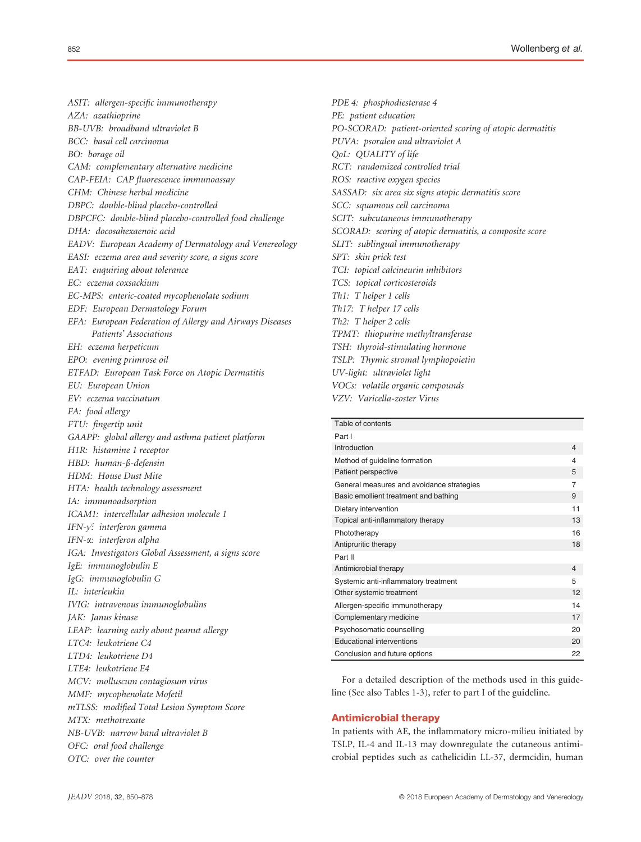ASIT: allergen-specific immunotherapy AZA: azathioprine BB-UVB: broadband ultraviolet B BCC: basal cell carcinoma BO: borage oil CAM: complementary alternative medicine CAP-FEIA: CAP fluorescence immunoassay CHM: Chinese herbal medicine DBPC: double-blind placebo-controlled DBPCFC: double-blind placebo-controlled food challenge DHA: docosahexaenoic acid EADV: European Academy of Dermatology and Venereology EASI: eczema area and severity score, a signs score EAT: enquiring about tolerance EC: eczema coxsackium EC-MPS: enteric-coated mycophenolate sodium EDF: European Dermatology Forum EFA: European Federation of Allergy and Airways Diseases Patients' Associations EH: eczema herpeticum EPO: evening primrose oil ETFAD: European Task Force on Atopic Dermatitis EU: European Union EV: eczema vaccinatum FA: food allergy FTU: fingertip unit GAAPP: global allergy and asthma patient platform H1R: histamine 1 receptor HBD: human-ß-defensin HDM: House Dust Mite HTA: health technology assessment IA: immunoadsorption ICAM1: intercellular adhesion molecule 1 IFN-ƴ: interferon gamma IFN-a: interferon alpha IGA: Investigators Global Assessment, a signs score IgE: immunoglobulin E IgG: immunoglobulin G IL: interleukin IVIG: intravenous immunoglobulins JAK: Janus kinase LEAP: learning early about peanut allergy LTC4: leukotriene C4 LTD4: leukotriene D4 LTE4: leukotriene E4 MCV: molluscum contagiosum virus MMF: mycophenolate Mofetil mTLSS: modified Total Lesion Symptom Score MTX: methotrexate NB-UVB: narrow band ultraviolet B OFC: oral food challenge OTC: over the counter

PDE 4: phosphodiesterase 4 PE: patient education PO-SCORAD: patient-oriented scoring of atopic dermatitis PUVA: psoralen and ultraviolet A QoL: QUALITY of life RCT: randomized controlled trial ROS: reactive oxygen species SASSAD: six area six signs atopic dermatitis score SCC: squamous cell carcinoma SCIT: subcutaneous immunotherapy SCORAD: scoring of atopic dermatitis, a composite score SLIT: sublingual immunotherapy SPT: skin prick test TCI: topical calcineurin inhibitors TCS: topical corticosteroids Th1: T helper 1 cells Th17: T helper 17 cells Th2: T helper 2 cells TPMT: thiopurine methyltransferase TSH: thyroid-stimulating hormone TSLP: Thymic stromal lymphopoietin UV-light: ultraviolet light VOCs: volatile organic compounds VZV: Varicella-zoster Virus

| Table of contents                         |                |
|-------------------------------------------|----------------|
| Part I                                    |                |
| Introduction                              | 4              |
| Method of guideline formation             | 4              |
| Patient perspective                       | 5              |
| General measures and avoidance strategies | 7              |
| Basic emollient treatment and bathing     | 9              |
| Dietary intervention                      | 11             |
| Topical anti-inflammatory therapy         | 13             |
| Phototherapy                              | 16             |
| Antipruritic therapy                      | 18             |
| Part II                                   |                |
| Antimicrobial therapy                     | $\overline{4}$ |
| Systemic anti-inflammatory treatment      | 5              |
| Other systemic treatment                  | 12             |
| Allergen-specific immunotherapy           | 14             |
| Complementary medicine                    | 17             |
| Psychosomatic counselling                 | 20             |
| <b>Educational interventions</b>          | 20             |
| Conclusion and future options             | 22             |

For a detailed description of the methods used in this guideline (See also Tables 1-3), refer to part I of the guideline.

## Antimicrobial therapy

In patients with AE, the inflammatory micro-milieu initiated by TSLP, IL-4 and IL-13 may downregulate the cutaneous antimicrobial peptides such as cathelicidin LL-37, dermcidin, human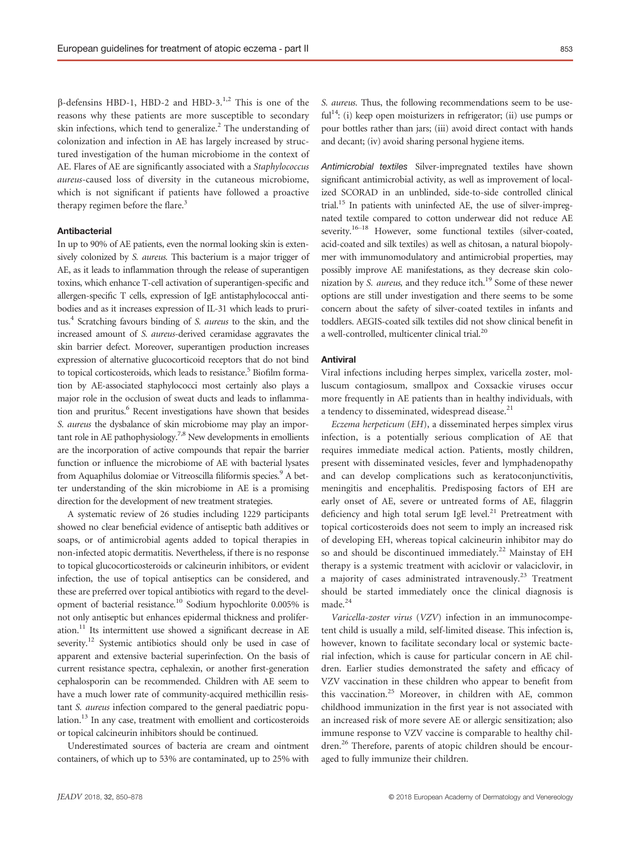$\beta$ -defensins HBD-1, HBD-2 and HBD-3.<sup>1,2</sup> This is one of the reasons why these patients are more susceptible to secondary skin infections, which tend to generalize.<sup>2</sup> The understanding of colonization and infection in AE has largely increased by structured investigation of the human microbiome in the context of AE. Flares of AE are significantly associated with a Staphylococcus aureus-caused loss of diversity in the cutaneous microbiome, which is not significant if patients have followed a proactive therapy regimen before the flare.<sup>3</sup>

## Antibacterial

In up to 90% of AE patients, even the normal looking skin is extensively colonized by S. aureus. This bacterium is a major trigger of AE, as it leads to inflammation through the release of superantigen toxins, which enhance T-cell activation of superantigen-specific and allergen-specific T cells, expression of IgE antistaphylococcal antibodies and as it increases expression of IL-31 which leads to pruritus.4 Scratching favours binding of S. aureus to the skin, and the increased amount of S. aureus-derived ceramidase aggravates the skin barrier defect. Moreover, superantigen production increases expression of alternative glucocorticoid receptors that do not bind to topical corticosteroids, which leads to resistance.<sup>5</sup> Biofilm formation by AE-associated staphylococci most certainly also plays a major role in the occlusion of sweat ducts and leads to inflammation and pruritus.<sup>6</sup> Recent investigations have shown that besides S. aureus the dysbalance of skin microbiome may play an important role in AE pathophysiology.<sup>7,8</sup> New developments in emollients are the incorporation of active compounds that repair the barrier function or influence the microbiome of AE with bacterial lysates from Aquaphilus dolomiae or Vitreoscilla filiformis species.<sup>9</sup> A better understanding of the skin microbiome in AE is a promising direction for the development of new treatment strategies.

A systematic review of 26 studies including 1229 participants showed no clear beneficial evidence of antiseptic bath additives or soaps, or of antimicrobial agents added to topical therapies in non-infected atopic dermatitis. Nevertheless, if there is no response to topical glucocorticosteroids or calcineurin inhibitors, or evident infection, the use of topical antiseptics can be considered, and these are preferred over topical antibiotics with regard to the development of bacterial resistance.<sup>10</sup> Sodium hypochlorite 0.005% is not only antiseptic but enhances epidermal thickness and proliferation.11 Its intermittent use showed a significant decrease in AE severity.<sup>12</sup> Systemic antibiotics should only be used in case of apparent and extensive bacterial superinfection. On the basis of current resistance spectra, cephalexin, or another first-generation cephalosporin can be recommended. Children with AE seem to have a much lower rate of community-acquired methicillin resistant S. aureus infection compared to the general paediatric population.<sup>13</sup> In any case, treatment with emollient and corticosteroids or topical calcineurin inhibitors should be continued.

Underestimated sources of bacteria are cream and ointment containers, of which up to 53% are contaminated, up to 25% with

S. aureus. Thus, the following recommendations seem to be useful<sup>14</sup>: (i) keep open moisturizers in refrigerator; (ii) use pumps or pour bottles rather than jars; (iii) avoid direct contact with hands and decant; (iv) avoid sharing personal hygiene items.

Antimicrobial textiles Silver-impregnated textiles have shown significant antimicrobial activity, as well as improvement of localized SCORAD in an unblinded, side-to-side controlled clinical trial.15 In patients with uninfected AE, the use of silver-impregnated textile compared to cotton underwear did not reduce AE severity.<sup>16–18</sup> However, some functional textiles (silver-coated, acid-coated and silk textiles) as well as chitosan, a natural biopolymer with immunomodulatory and antimicrobial properties, may possibly improve AE manifestations, as they decrease skin colonization by S. *aureus*, and they reduce itch.<sup>19</sup> Some of these newer options are still under investigation and there seems to be some concern about the safety of silver-coated textiles in infants and toddlers. AEGIS-coated silk textiles did not show clinical benefit in a well-controlled, multicenter clinical trial.20

#### Antiviral

Viral infections including herpes simplex, varicella zoster, molluscum contagiosum, smallpox and Coxsackie viruses occur more frequently in AE patients than in healthy individuals, with a tendency to disseminated, widespread disease.<sup>21</sup>

Eczema herpeticum (EH), a disseminated herpes simplex virus infection, is a potentially serious complication of AE that requires immediate medical action. Patients, mostly children, present with disseminated vesicles, fever and lymphadenopathy and can develop complications such as keratoconjunctivitis, meningitis and encephalitis. Predisposing factors of EH are early onset of AE, severe or untreated forms of AE, filaggrin deficiency and high total serum IgE level. $^{21}$  Pretreatment with topical corticosteroids does not seem to imply an increased risk of developing EH, whereas topical calcineurin inhibitor may do so and should be discontinued immediately.<sup>22</sup> Mainstay of EH therapy is a systemic treatment with aciclovir or valaciclovir, in a majority of cases administrated intravenously.<sup>23</sup> Treatment should be started immediately once the clinical diagnosis is made.<sup>24</sup>

Varicella-zoster virus (VZV) infection in an immunocompetent child is usually a mild, self-limited disease. This infection is, however, known to facilitate secondary local or systemic bacterial infection, which is cause for particular concern in AE children. Earlier studies demonstrated the safety and efficacy of VZV vaccination in these children who appear to benefit from this vaccination.<sup>25</sup> Moreover, in children with AE, common childhood immunization in the first year is not associated with an increased risk of more severe AE or allergic sensitization; also immune response to VZV vaccine is comparable to healthy children.<sup>26</sup> Therefore, parents of atopic children should be encouraged to fully immunize their children.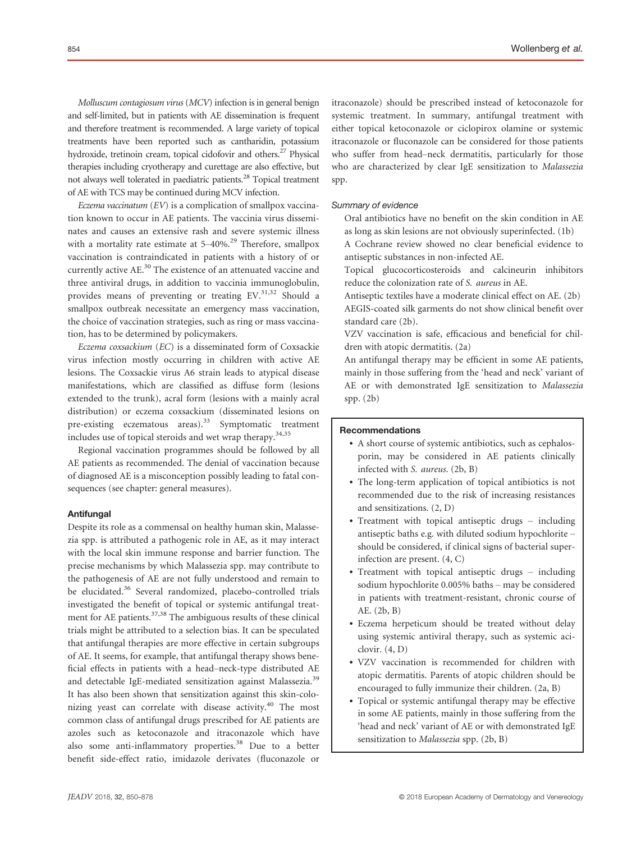Molluscum contagiosum virus (MCV) infection is in general benign and self-limited, but in patients with AE dissemination is frequent and therefore treatment is recommended. A large variety of topical treatments have been reported such as cantharidin, potassium hydroxide, tretinoin cream, topical cidofovir and others.<sup>27</sup> Physical therapies including cryotherapy and curettage are also effective, but not always well tolerated in paediatric patients.28 Topical treatment of AE with TCS may be continued during MCV infection.

Eczema vaccinatum (EV) is a complication of smallpox vaccination known to occur in AE patients. The vaccinia virus disseminates and causes an extensive rash and severe systemic illness with a mortality rate estimate at  $5-40\%$ <sup>29</sup> Therefore, smallpox vaccination is contraindicated in patients with a history of or currently active AE.<sup>30</sup> The existence of an attenuated vaccine and three antiviral drugs, in addition to vaccinia immunoglobulin, provides means of preventing or treating EV.<sup>31,32</sup> Should a smallpox outbreak necessitate an emergency mass vaccination, the choice of vaccination strategies, such as ring or mass vaccination, has to be determined by policymakers.

Eczema coxsackium (EC) is a disseminated form of Coxsackie virus infection mostly occurring in children with active AE lesions. The Coxsackie virus A6 strain leads to atypical disease manifestations, which are classified as diffuse form (lesions extended to the trunk), acral form (lesions with a mainly acral distribution) or eczema coxsackium (disseminated lesions on pre-existing eczematous areas).<sup>33</sup> Symptomatic treatment includes use of topical steroids and wet wrap therapy.<sup>34,35</sup>

Regional vaccination programmes should be followed by all AE patients as recommended. The denial of vaccination because of diagnosed AE is a misconception possibly leading to fatal consequences (see chapter: general measures).

### **Antifungal**

Despite its role as a commensal on healthy human skin, Malassezia spp. is attributed a pathogenic role in AE, as it may interact with the local skin immune response and barrier function. The precise mechanisms by which Malassezia spp. may contribute to the pathogenesis of AE are not fully understood and remain to be elucidated.<sup>36</sup> Several randomized, placebo-controlled trials investigated the benefit of topical or systemic antifungal treatment for AE patients.37,38 The ambiguous results of these clinical trials might be attributed to a selection bias. It can be speculated that antifungal therapies are more effective in certain subgroups of AE. It seems, for example, that antifungal therapy shows beneficial effects in patients with a head–neck-type distributed AE and detectable IgE-mediated sensitization against Malassezia.<sup>39</sup> It has also been shown that sensitization against this skin-colonizing yeast can correlate with disease activity.<sup>40</sup> The most common class of antifungal drugs prescribed for AE patients are azoles such as ketoconazole and itraconazole which have also some anti-inflammatory properties.<sup>38</sup> Due to a better benefit side-effect ratio, imidazole derivates (fluconazole or itraconazole) should be prescribed instead of ketoconazole for systemic treatment. In summary, antifungal treatment with either topical ketoconazole or ciclopirox olamine or systemic itraconazole or fluconazole can be considered for those patients who suffer from head–neck dermatitis, particularly for those who are characterized by clear IgE sensitization to Malassezia spp.

## Summary of evidence

Oral antibiotics have no benefit on the skin condition in AE as long as skin lesions are not obviously superinfected. (1b)

A Cochrane review showed no clear beneficial evidence to antiseptic substances in non-infected AE.

Topical glucocorticosteroids and calcineurin inhibitors reduce the colonization rate of S. aureus in AE.

Antiseptic textiles have a moderate clinical effect on AE. (2b) AEGIS-coated silk garments do not show clinical benefit over standard care (2b).

VZV vaccination is safe, efficacious and beneficial for children with atopic dermatitis. (2a)

An antifungal therapy may be efficient in some AE patients, mainly in those suffering from the 'head and neck' variant of AE or with demonstrated IgE sensitization to Malassezia spp. (2b)

## Recommendations

- A short course of systemic antibiotics, such as cephalosporin, may be considered in AE patients clinically infected with S. aureus. (2b, B)
- The long-term application of topical antibiotics is not recommended due to the risk of increasing resistances and sensitizations. (2, D)
- Treatment with topical antiseptic drugs including antiseptic baths e.g. with diluted sodium hypochlorite – should be considered, if clinical signs of bacterial superinfection are present. (4, C)
- Treatment with topical antiseptic drugs including sodium hypochlorite 0.005% baths – may be considered in patients with treatment-resistant, chronic course of AE. (2b, B)
- Eczema herpeticum should be treated without delay using systemic antiviral therapy, such as systemic aciclovir. (4, D)
- VZV vaccination is recommended for children with atopic dermatitis. Parents of atopic children should be encouraged to fully immunize their children. (2a, B)
- Topical or systemic antifungal therapy may be effective in some AE patients, mainly in those suffering from the 'head and neck' variant of AE or with demonstrated IgE sensitization to Malassezia spp. (2b, B)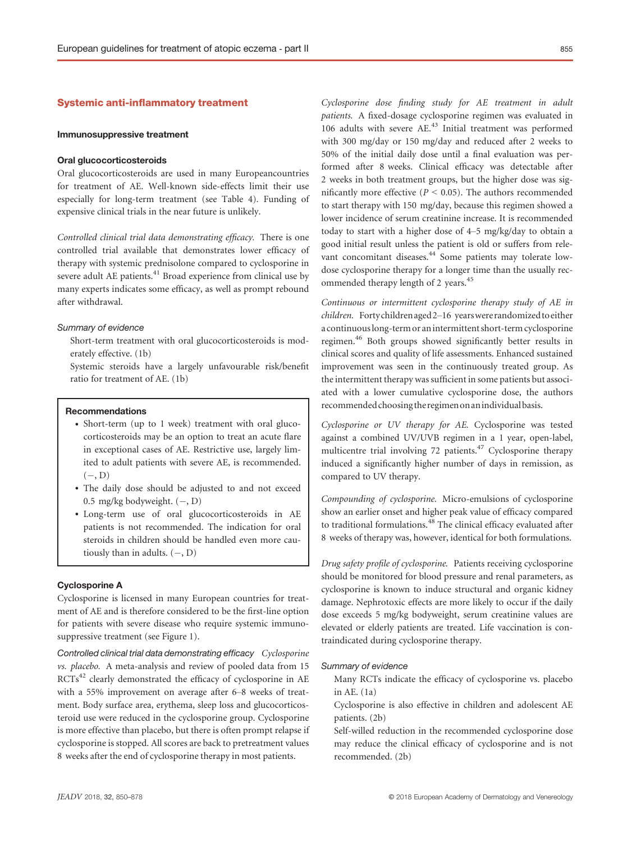#### Systemic anti-inflammatory treatment

## Immunosuppressive treatment

#### Oral glucocorticosteroids

Oral glucocorticosteroids are used in many Europeancountries for treatment of AE. Well-known side-effects limit their use especially for long-term treatment (see Table 4). Funding of expensive clinical trials in the near future is unlikely.

Controlled clinical trial data demonstrating efficacy. There is one controlled trial available that demonstrates lower efficacy of therapy with systemic prednisolone compared to cyclosporine in severe adult AE patients.<sup>41</sup> Broad experience from clinical use by many experts indicates some efficacy, as well as prompt rebound after withdrawal.

## Summary of evidence

Short-term treatment with oral glucocorticosteroids is moderately effective. (1b)

Systemic steroids have a largely unfavourable risk/benefit ratio for treatment of AE. (1b)

## Recommendations

- Short-term (up to 1 week) treatment with oral glucocorticosteroids may be an option to treat an acute flare in exceptional cases of AE. Restrictive use, largely limited to adult patients with severe AE, is recommended.  $(-, D)$
- The daily dose should be adjusted to and not exceed 0.5 mg/kg bodyweight.  $(-, D)$
- Long-term use of oral glucocorticosteroids in AE patients is not recommended. The indication for oral steroids in children should be handled even more cautiously than in adults.  $(-, D)$

#### Cyclosporine A

Cyclosporine is licensed in many European countries for treatment of AE and is therefore considered to be the first-line option for patients with severe disease who require systemic immunosuppressive treatment (see Figure 1).

Controlled clinical trial data demonstrating efficacy Cyclosporine vs. placebo. A meta-analysis and review of pooled data from 15  $RCTs<sup>42</sup>$  clearly demonstrated the efficacy of cyclosporine in AE with a 55% improvement on average after 6–8 weeks of treatment. Body surface area, erythema, sleep loss and glucocorticosteroid use were reduced in the cyclosporine group. Cyclosporine is more effective than placebo, but there is often prompt relapse if cyclosporine is stopped. All scores are back to pretreatment values 8 weeks after the end of cyclosporine therapy in most patients.

Cyclosporine dose finding study for AE treatment in adult patients. A fixed-dosage cyclosporine regimen was evaluated in 106 adults with severe AE.<sup>43</sup> Initial treatment was performed with 300 mg/day or 150 mg/day and reduced after 2 weeks to 50% of the initial daily dose until a final evaluation was performed after 8 weeks. Clinical efficacy was detectable after 2 weeks in both treatment groups, but the higher dose was significantly more effective ( $P < 0.05$ ). The authors recommended to start therapy with 150 mg/day, because this regimen showed a lower incidence of serum creatinine increase. It is recommended today to start with a higher dose of 4–5 mg/kg/day to obtain a good initial result unless the patient is old or suffers from relevant concomitant diseases.<sup>44</sup> Some patients may tolerate lowdose cyclosporine therapy for a longer time than the usually recommended therapy length of 2 years.<sup>45</sup>

Continuous or intermittent cyclosporine therapy study of AE in children. Forty children aged 2-16 years were randomized to either a continuouslong-term or anintermittent short-term cyclosporine regimen.<sup>46</sup> Both groups showed significantly better results in clinical scores and quality of life assessments. Enhanced sustained improvement was seen in the continuously treated group. As the intermittent therapy was sufficient in some patients but associated with a lower cumulative cyclosporine dose, the authors recommended choosing the regimenonanindividualbasis.

Cyclosporine or UV therapy for AE. Cyclosporine was tested against a combined UV/UVB regimen in a 1 year, open-label, multicentre trial involving 72 patients. $47$  Cyclosporine therapy induced a significantly higher number of days in remission, as compared to UV therapy.

Compounding of cyclosporine. Micro-emulsions of cyclosporine show an earlier onset and higher peak value of efficacy compared to traditional formulations.<sup>48</sup> The clinical efficacy evaluated after 8 weeks of therapy was, however, identical for both formulations.

Drug safety profile of cyclosporine. Patients receiving cyclosporine should be monitored for blood pressure and renal parameters, as cyclosporine is known to induce structural and organic kidney damage. Nephrotoxic effects are more likely to occur if the daily dose exceeds 5 mg/kg bodyweight, serum creatinine values are elevated or elderly patients are treated. Life vaccination is contraindicated during cyclosporine therapy.

## Summary of evidence

Many RCTs indicate the efficacy of cyclosporine vs. placebo in AE. (1a)

Cyclosporine is also effective in children and adolescent AE patients. (2b)

Self-willed reduction in the recommended cyclosporine dose may reduce the clinical efficacy of cyclosporine and is not recommended. (2b)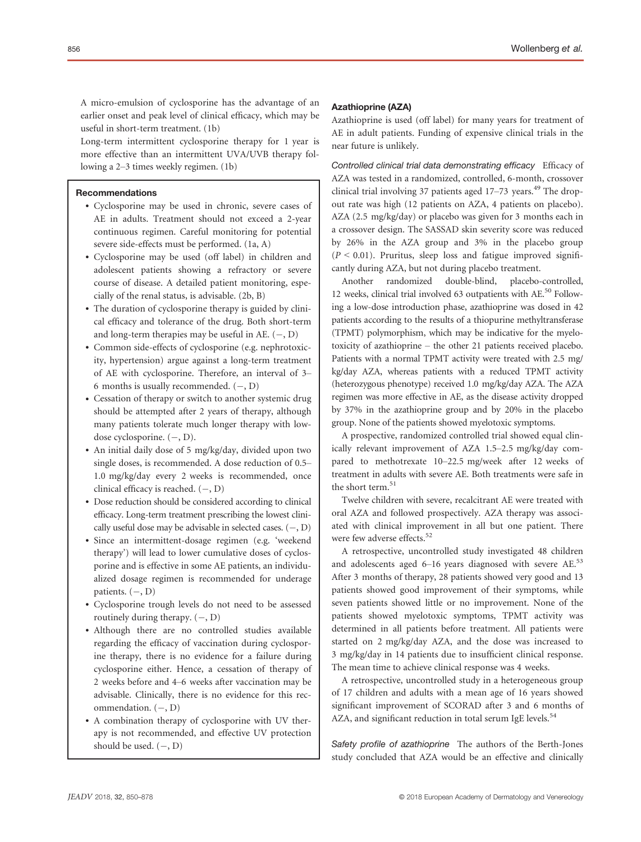A micro-emulsion of cyclosporine has the advantage of an earlier onset and peak level of clinical efficacy, which may be useful in short-term treatment. (1b)

Long-term intermittent cyclosporine therapy for 1 year is more effective than an intermittent UVA/UVB therapy following a 2–3 times weekly regimen. (1b)

## Recommendations

- Cyclosporine may be used in chronic, severe cases of AE in adults. Treatment should not exceed a 2-year continuous regimen. Careful monitoring for potential severe side-effects must be performed. (1a, A)
- Cyclosporine may be used (off label) in children and adolescent patients showing a refractory or severe course of disease. A detailed patient monitoring, especially of the renal status, is advisable. (2b, B)
- The duration of cyclosporine therapy is guided by clinical efficacy and tolerance of the drug. Both short-term and long-term therapies may be useful in AE.  $(-, D)$
- Common side-effects of cyclosporine (e.g. nephrotoxicity, hypertension) argue against a long-term treatment of AE with cyclosporine. Therefore, an interval of 3– 6 months is usually recommended.  $(-, D)$
- Cessation of therapy or switch to another systemic drug should be attempted after 2 years of therapy, although many patients tolerate much longer therapy with lowdose cyclosporine.  $(-, D)$ .
- An initial daily dose of 5 mg/kg/day, divided upon two single doses, is recommended. A dose reduction of 0.5– 1.0 mg/kg/day every 2 weeks is recommended, once clinical efficacy is reached.  $(-, D)$
- Dose reduction should be considered according to clinical efficacy. Long-term treatment prescribing the lowest clinically useful dose may be advisable in selected cases.  $(-, D)$
- Since an intermittent-dosage regimen (e.g. 'weekend therapy') will lead to lower cumulative doses of cyclosporine and is effective in some AE patients, an individualized dosage regimen is recommended for underage patients.  $(-, D)$
- Cyclosporine trough levels do not need to be assessed routinely during therapy.  $(-, D)$
- Although there are no controlled studies available regarding the efficacy of vaccination during cyclosporine therapy, there is no evidence for a failure during cyclosporine either. Hence, a cessation of therapy of 2 weeks before and 4–6 weeks after vaccination may be advisable. Clinically, there is no evidence for this recommendation.  $(-, D)$
- A combination therapy of cyclosporine with UV therapy is not recommended, and effective UV protection should be used.  $(-, D)$

# Azathioprine (AZA)

Azathioprine is used (off label) for many years for treatment of AE in adult patients. Funding of expensive clinical trials in the near future is unlikely.

Controlled clinical trial data demonstrating efficacy Efficacy of AZA was tested in a randomized, controlled, 6-month, crossover clinical trial involving 37 patients aged  $17-73$  years.<sup>49</sup> The dropout rate was high (12 patients on AZA, 4 patients on placebo). AZA (2.5 mg/kg/day) or placebo was given for 3 months each in a crossover design. The SASSAD skin severity score was reduced by 26% in the AZA group and 3% in the placebo group  $(P < 0.01)$ . Pruritus, sleep loss and fatigue improved significantly during AZA, but not during placebo treatment.

Another randomized double-blind, placebo-controlled, 12 weeks, clinical trial involved 63 outpatients with AE.<sup>50</sup> Following a low-dose introduction phase, azathioprine was dosed in 42 patients according to the results of a thiopurine methyltransferase (TPMT) polymorphism, which may be indicative for the myelotoxicity of azathioprine – the other 21 patients received placebo. Patients with a normal TPMT activity were treated with 2.5 mg/ kg/day AZA, whereas patients with a reduced TPMT activity (heterozygous phenotype) received 1.0 mg/kg/day AZA. The AZA regimen was more effective in AE, as the disease activity dropped by 37% in the azathioprine group and by 20% in the placebo group. None of the patients showed myelotoxic symptoms.

A prospective, randomized controlled trial showed equal clinically relevant improvement of AZA 1.5–2.5 mg/kg/day compared to methotrexate 10–22.5 mg/week after 12 weeks of treatment in adults with severe AE. Both treatments were safe in the short term.<sup>51</sup>

Twelve children with severe, recalcitrant AE were treated with oral AZA and followed prospectively. AZA therapy was associated with clinical improvement in all but one patient. There were few adverse effects.<sup>52</sup>

A retrospective, uncontrolled study investigated 48 children and adolescents aged  $6-16$  years diagnosed with severe AE.<sup>53</sup> After 3 months of therapy, 28 patients showed very good and 13 patients showed good improvement of their symptoms, while seven patients showed little or no improvement. None of the patients showed myelotoxic symptoms, TPMT activity was determined in all patients before treatment. All patients were started on 2 mg/kg/day AZA, and the dose was increased to 3 mg/kg/day in 14 patients due to insufficient clinical response. The mean time to achieve clinical response was 4 weeks.

A retrospective, uncontrolled study in a heterogeneous group of 17 children and adults with a mean age of 16 years showed significant improvement of SCORAD after 3 and 6 months of AZA, and significant reduction in total serum IgE levels. $54$ 

Safety profile of azathioprine The authors of the Berth-Jones study concluded that AZA would be an effective and clinically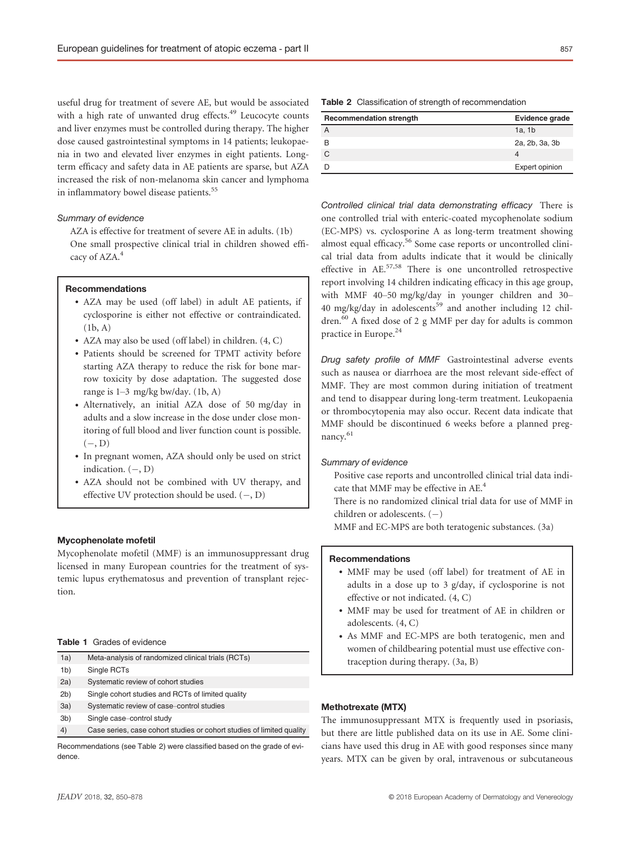useful drug for treatment of severe AE, but would be associated with a high rate of unwanted drug effects.<sup>49</sup> Leucocyte counts and liver enzymes must be controlled during therapy. The higher dose caused gastrointestinal symptoms in 14 patients; leukopaenia in two and elevated liver enzymes in eight patients. Longterm efficacy and safety data in AE patients are sparse, but AZA increased the risk of non-melanoma skin cancer and lymphoma in inflammatory bowel disease patients.<sup>55</sup>

#### Summary of evidence

AZA is effective for treatment of severe AE in adults. (1b) One small prospective clinical trial in children showed efficacy of AZA.<sup>4</sup>

#### Recommendations

- AZA may be used (off label) in adult AE patients, if cyclosporine is either not effective or contraindicated.  $(1b, A)$
- AZA may also be used (off label) in children. (4, C)
- Patients should be screened for TPMT activity before starting AZA therapy to reduce the risk for bone marrow toxicity by dose adaptation. The suggested dose range is 1–3 mg/kg bw/day. (1b, A)
- Alternatively, an initial AZA dose of 50 mg/day in adults and a slow increase in the dose under close monitoring of full blood and liver function count is possible.  $(-, D)$
- In pregnant women, AZA should only be used on strict indication.  $(-, D)$
- AZA should not be combined with UV therapy, and effective UV protection should be used.  $(-, D)$

## Mycophenolate mofetil

Mycophenolate mofetil (MMF) is an immunosuppressant drug licensed in many European countries for the treatment of systemic lupus erythematosus and prevention of transplant rejection.

#### Table 1 Grades of evidence

| 1a)            | Meta-analysis of randomized clinical trials (RCTs)                    |
|----------------|-----------------------------------------------------------------------|
| 1 <sub>b</sub> | Single RCTs                                                           |
| 2a)            | Systematic review of cohort studies                                   |
| 2b)            | Single cohort studies and RCTs of limited quality                     |
| 3a)            | Systematic review of case-control studies                             |
| 3 <sub>b</sub> | Single case-control study                                             |
| 4)             | Case series, case cohort studies or cohort studies of limited quality |

Recommendations (see Table 2) were classified based on the grade of evidence

| Table 2 Classification of strength of recommendation |
|------------------------------------------------------|
|------------------------------------------------------|

| <b>Recommendation strength</b> | Evidence grade |
|--------------------------------|----------------|
|                                | 1a, 1b         |
| B                              | 2a, 2b, 3a, 3b |
| C                              | Δ              |
|                                | Expert opinion |
|                                |                |

Controlled clinical trial data demonstrating efficacy There is one controlled trial with enteric-coated mycophenolate sodium (EC-MPS) vs. cyclosporine A as long-term treatment showing almost equal efficacy.<sup>56</sup> Some case reports or uncontrolled clinical trial data from adults indicate that it would be clinically effective in AE.57,58 There is one uncontrolled retrospective report involving 14 children indicating efficacy in this age group, with MMF 40–50 mg/kg/day in younger children and 30– 40 mg/kg/day in adolescents<sup>59</sup> and another including 12 children. $60$  A fixed dose of 2 g MMF per day for adults is common practice in Europe.<sup>24</sup>

Drug safety profile of MMF Gastrointestinal adverse events such as nausea or diarrhoea are the most relevant side-effect of MMF. They are most common during initiation of treatment and tend to disappear during long-term treatment. Leukopaenia or thrombocytopenia may also occur. Recent data indicate that MMF should be discontinued 6 weeks before a planned pregnancy.<sup>61</sup>

#### Summary of evidence

Positive case reports and uncontrolled clinical trial data indicate that MMF may be effective in AE.<sup>4</sup>

There is no randomized clinical trial data for use of MMF in children or adolescents.  $(-)$ 

MMF and EC-MPS are both teratogenic substances. (3a)

## Recommendations

- MMF may be used (off label) for treatment of AE in adults in a dose up to 3 g/day, if cyclosporine is not effective or not indicated. (4, C)
- MMF may be used for treatment of AE in children or adolescents. (4, C)
- As MMF and EC-MPS are both teratogenic, men and women of childbearing potential must use effective contraception during therapy. (3a, B)

## Methotrexate (MTX)

The immunosuppressant MTX is frequently used in psoriasis, but there are little published data on its use in AE. Some clinicians have used this drug in AE with good responses since many years. MTX can be given by oral, intravenous or subcutaneous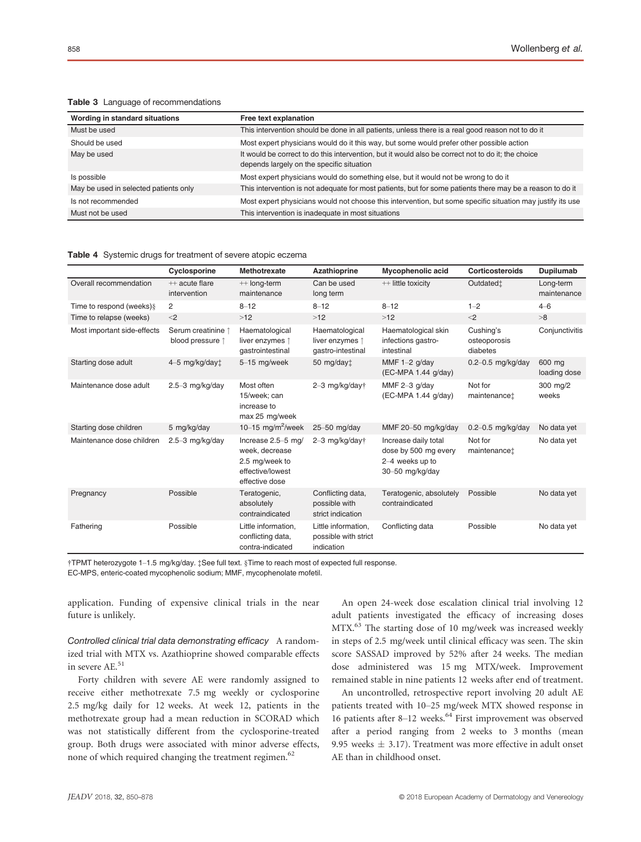|  |  | <b>Table 3</b> Language of recommendations |
|--|--|--------------------------------------------|
|--|--|--------------------------------------------|

| Wording in standard situations        | Free text explanation                                                                                                                           |
|---------------------------------------|-------------------------------------------------------------------------------------------------------------------------------------------------|
| Must be used                          | This intervention should be done in all patients, unless there is a real good reason not to do it                                               |
| Should be used                        | Most expert physicians would do it this way, but some would prefer other possible action                                                        |
| May be used                           | It would be correct to do this intervention, but it would also be correct not to do it; the choice<br>depends largely on the specific situation |
| Is possible                           | Most expert physicians would do something else, but it would not be wrong to do it                                                              |
| May be used in selected patients only | This intervention is not adequate for most patients, but for some patients there may be a reason to do it                                       |
| Is not recommended                    | Most expert physicians would not choose this intervention, but some specific situation may justify its use                                      |
| Must not be used                      | This intervention is inadequate in most situations                                                                                              |

#### Table 4 Systemic drugs for treatment of severe atopic eczema

|                              | Cyclosporine                           | Methotrexate                                                                                 | Azathioprine                                              | Mycophenolic acid                                                                  | <b>Corticosteroids</b>                | Dupilumab                |
|------------------------------|----------------------------------------|----------------------------------------------------------------------------------------------|-----------------------------------------------------------|------------------------------------------------------------------------------------|---------------------------------------|--------------------------|
| Overall recommendation       | $++$ acute flare<br>intervention       | ++ long-term<br>maintenance                                                                  | Can be used<br>long term                                  | ++ little toxicity                                                                 | Outdatedt                             | Long-term<br>maintenance |
| Time to respond (weeks) $\S$ | 2                                      | $8 - 12$                                                                                     | $8 - 12$                                                  | $8 - 12$                                                                           | $1 - 2$                               | $4 - 6$                  |
| Time to relapse (weeks)      | $<$ 2                                  | $>12$                                                                                        | $>12$                                                     | $>12$                                                                              | $<$ 2                                 | >8                       |
| Most important side-effects  | Serum creatinine 1<br>blood pressure 1 | Haematological<br>liver enzymes 1<br>gastrointestinal                                        | Haematological<br>liver enzymes 1<br>qastro-intestinal    | Haematological skin<br>infections gastro-<br>intestinal                            | Cushing's<br>osteoporosis<br>diabetes | Conjunctivitis           |
| Starting dose adult          | 4-5 mg/kg/day:                         | 5-15 mg/week                                                                                 | 50 mg/dayt                                                | MMF $1-2$ g/day<br>(EC-MPA 1.44 g/day)                                             | $0.2 - 0.5$ mg/kg/day                 | 600 mg<br>loading dose   |
| Maintenance dose adult       | $2.5 - 3$ mg/kg/day                    | Most often<br>15/week; can<br>increase to<br>max 25 mg/week                                  | 2-3 mg/kg/day†                                            | MMF 2-3 g/day<br>(EC-MPA 1.44 g/day)                                               | Not for<br>maintenancet               | 300 mg/2<br>weeks        |
| Starting dose children       | 5 mg/kg/day                            | 10–15 mg/m <sup>2</sup> /week                                                                | 25-50 mg/day                                              | MMF 20-50 mg/kg/day                                                                | $0.2 - 0.5$ mg/kg/day                 | No data yet              |
| Maintenance dose children    | 2.5-3 mg/kg/day                        | Increase 2.5-5 mg/<br>week, decrease<br>2.5 mg/week to<br>effective/lowest<br>effective dose | 2-3 mg/kg/day†                                            | Increase daily total<br>dose by 500 mg every<br>2-4 weeks up to<br>30-50 mg/kg/day | Not for<br>maintenance <sup>+</sup>   | No data yet              |
| Pregnancy                    | Possible                               | Teratogenic,<br>absolutely<br>contraindicated                                                | Conflicting data,<br>possible with<br>strict indication   | Teratogenic, absolutely<br>contraindicated                                         | Possible                              | No data yet              |
| Fathering                    | Possible                               | Little information,<br>conflicting data,<br>contra-indicated                                 | Little information,<br>possible with strict<br>indication | Conflicting data                                                                   | Possible                              | No data yet              |

†TPMT heterozygote 1–1.5 mg/kg/day. ‡See full text. §Time to reach most of expected full response.

EC-MPS, enteric-coated mycophenolic sodium; MMF, mycophenolate mofetil.

application. Funding of expensive clinical trials in the near future is unlikely.

Controlled clinical trial data demonstrating efficacy A randomized trial with MTX vs. Azathioprine showed comparable effects in severe AE.<sup>51</sup>

Forty children with severe AE were randomly assigned to receive either methotrexate 7.5 mg weekly or cyclosporine 2.5 mg/kg daily for 12 weeks. At week 12, patients in the methotrexate group had a mean reduction in SCORAD which was not statistically different from the cyclosporine-treated group. Both drugs were associated with minor adverse effects, none of which required changing the treatment regimen.<sup>62</sup>

An open 24-week dose escalation clinical trial involving 12 adult patients investigated the efficacy of increasing doses MTX.<sup>63</sup> The starting dose of 10 mg/week was increased weekly in steps of 2.5 mg/week until clinical efficacy was seen. The skin score SASSAD improved by 52% after 24 weeks. The median dose administered was 15 mg MTX/week. Improvement remained stable in nine patients 12 weeks after end of treatment.

An uncontrolled, retrospective report involving 20 adult AE patients treated with 10–25 mg/week MTX showed response in 16 patients after 8-12 weeks.<sup>64</sup> First improvement was observed after a period ranging from 2 weeks to 3 months (mean 9.95 weeks  $\pm$  3.17). Treatment was more effective in adult onset AE than in childhood onset.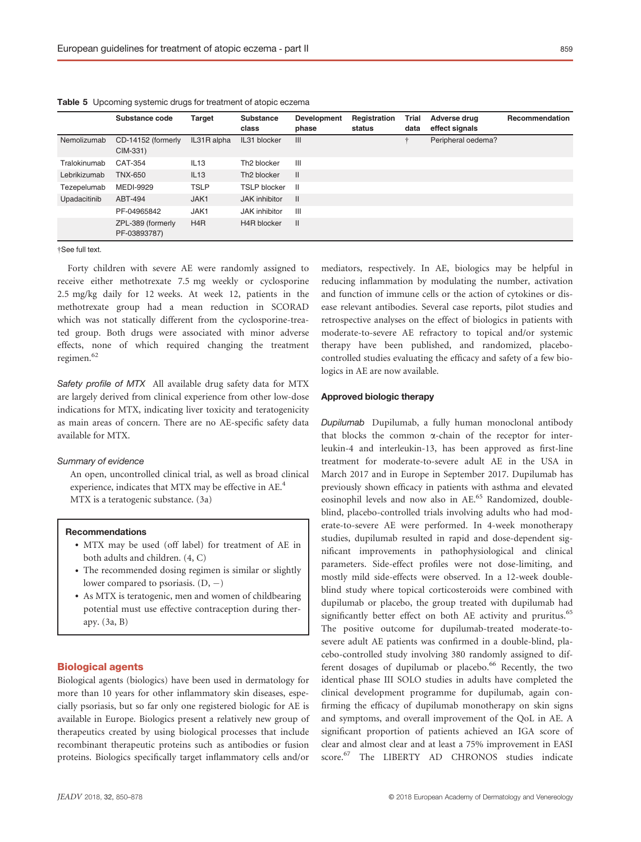|              | Substance code                    | Target           | <b>Substance</b><br>class | <b>Development</b><br>phase | Registration<br>status | Trial<br>data | Adverse drug<br>effect signals | Recommendation |
|--------------|-----------------------------------|------------------|---------------------------|-----------------------------|------------------------|---------------|--------------------------------|----------------|
| Nemolizumab  | CD-14152 (formerly<br>CIM-331)    | IL31R alpha      | IL31 blocker              | III                         |                        |               | Peripheral oedema?             |                |
| Tralokinumab | CAT-354                           | IL13             | Th <sub>2</sub> blocker   | Ш                           |                        |               |                                |                |
| Lebrikizumab | <b>TNX-650</b>                    | IL13             | Th <sub>2</sub> blocker   | $\mathbf{II}$               |                        |               |                                |                |
| Tezepelumab  | <b>MEDI-9929</b>                  | <b>TSLP</b>      | TSLP blocker              | - II                        |                        |               |                                |                |
| Upadacitinib | ABT-494                           | JAK1             | JAK inhibitor             | $\mathbf{H}$                |                        |               |                                |                |
|              | PF-04965842                       | JAK1             | JAK inhibitor             | Ш                           |                        |               |                                |                |
|              | ZPL-389 (formerly<br>PF-03893787) | H <sub>4</sub> R | H4R blocker               | $\mathbf{II}$               |                        |               |                                |                |

Table 5 Upcoming systemic drugs for treatment of atopic eczema

†See full text.

Forty children with severe AE were randomly assigned to receive either methotrexate 7.5 mg weekly or cyclosporine 2.5 mg/kg daily for 12 weeks. At week 12, patients in the methotrexate group had a mean reduction in SCORAD which was not statically different from the cyclosporine-treated group. Both drugs were associated with minor adverse effects, none of which required changing the treatment regimen.<sup>62</sup>

Safety profile of MTX All available drug safety data for MTX are largely derived from clinical experience from other low-dose indications for MTX, indicating liver toxicity and teratogenicity as main areas of concern. There are no AE-specific safety data available for MTX.

## Summary of evidence

An open, uncontrolled clinical trial, as well as broad clinical experience, indicates that MTX may be effective in AE.<sup>4</sup> MTX is a teratogenic substance. (3a)

## Recommendations

- MTX may be used (off label) for treatment of AE in both adults and children. (4, C)
- The recommended dosing regimen is similar or slightly lower compared to psoriasis.  $(D, -)$
- As MTX is teratogenic, men and women of childbearing potential must use effective contraception during therapy. (3a, B)

## Biological agents

Biological agents (biologics) have been used in dermatology for more than 10 years for other inflammatory skin diseases, especially psoriasis, but so far only one registered biologic for AE is available in Europe. Biologics present a relatively new group of therapeutics created by using biological processes that include recombinant therapeutic proteins such as antibodies or fusion proteins. Biologics specifically target inflammatory cells and/or mediators, respectively. In AE, biologics may be helpful in reducing inflammation by modulating the number, activation and function of immune cells or the action of cytokines or disease relevant antibodies. Several case reports, pilot studies and retrospective analyses on the effect of biologics in patients with moderate-to-severe AE refractory to topical and/or systemic therapy have been published, and randomized, placebocontrolled studies evaluating the efficacy and safety of a few biologics in AE are now available.

#### Approved biologic therapy

Dupilumab Dupilumab, a fully human monoclonal antibody that blocks the common  $\alpha$ -chain of the receptor for interleukin-4 and interleukin-13, has been approved as first-line treatment for moderate-to-severe adult AE in the USA in March 2017 and in Europe in September 2017. Dupilumab has previously shown efficacy in patients with asthma and elevated eosinophil levels and now also in AE.<sup>65</sup> Randomized, doubleblind, placebo-controlled trials involving adults who had moderate-to-severe AE were performed. In 4-week monotherapy studies, dupilumab resulted in rapid and dose-dependent significant improvements in pathophysiological and clinical parameters. Side-effect profiles were not dose-limiting, and mostly mild side-effects were observed. In a 12-week doubleblind study where topical corticosteroids were combined with dupilumab or placebo, the group treated with dupilumab had significantly better effect on both AE activity and pruritus.<sup>65</sup> The positive outcome for dupilumab-treated moderate-tosevere adult AE patients was confirmed in a double-blind, placebo-controlled study involving 380 randomly assigned to different dosages of dupilumab or placebo.<sup>66</sup> Recently, the two identical phase III SOLO studies in adults have completed the clinical development programme for dupilumab, again confirming the efficacy of dupilumab monotherapy on skin signs and symptoms, and overall improvement of the QoL in AE. A significant proportion of patients achieved an IGA score of clear and almost clear and at least a 75% improvement in EASI score.<sup>67</sup> The LIBERTY AD CHRONOS studies indicate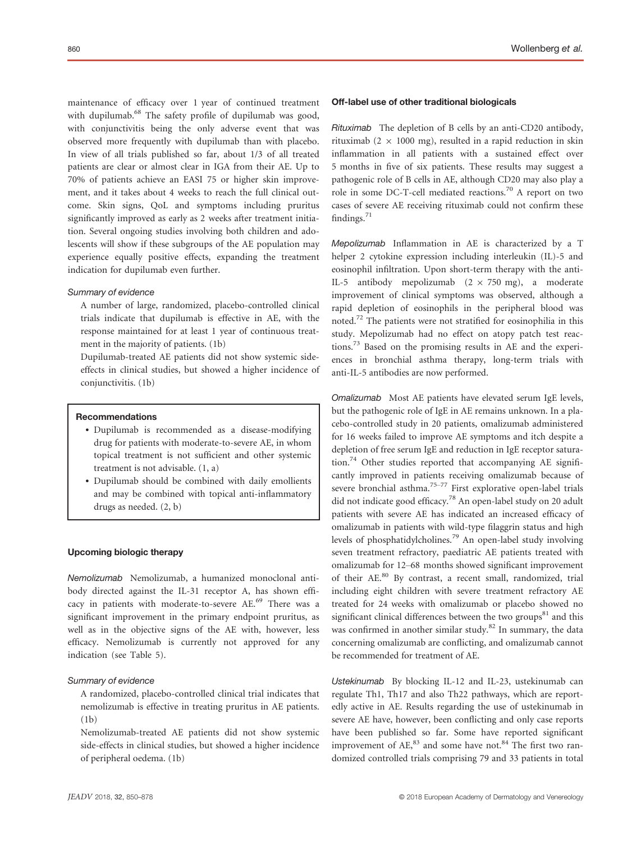maintenance of efficacy over 1 year of continued treatment with dupilumab.<sup>68</sup> The safety profile of dupilumab was good, with conjunctivitis being the only adverse event that was observed more frequently with dupilumab than with placebo. In view of all trials published so far, about 1/3 of all treated patients are clear or almost clear in IGA from their AE. Up to 70% of patients achieve an EASI 75 or higher skin improvement, and it takes about 4 weeks to reach the full clinical outcome. Skin signs, QoL and symptoms including pruritus significantly improved as early as 2 weeks after treatment initiation. Several ongoing studies involving both children and adolescents will show if these subgroups of the AE population may experience equally positive effects, expanding the treatment indication for dupilumab even further.

## Summary of evidence

A number of large, randomized, placebo-controlled clinical trials indicate that dupilumab is effective in AE, with the response maintained for at least 1 year of continuous treatment in the majority of patients. (1b)

Dupilumab-treated AE patients did not show systemic sideeffects in clinical studies, but showed a higher incidence of conjunctivitis. (1b)

## Recommendations

- Dupilumab is recommended as a disease-modifying drug for patients with moderate-to-severe AE, in whom topical treatment is not sufficient and other systemic treatment is not advisable. (1, a)
- Dupilumab should be combined with daily emollients and may be combined with topical anti-inflammatory drugs as needed. (2, b)

#### Upcoming biologic therapy

Nemolizumab Nemolizumab, a humanized monoclonal antibody directed against the IL-31 receptor A, has shown efficacy in patients with moderate-to-severe AE.<sup>69</sup> There was a significant improvement in the primary endpoint pruritus, as well as in the objective signs of the AE with, however, less efficacy. Nemolizumab is currently not approved for any indication (see Table 5).

#### Summary of evidence

A randomized, placebo-controlled clinical trial indicates that nemolizumab is effective in treating pruritus in AE patients. (1b)

Nemolizumab-treated AE patients did not show systemic side-effects in clinical studies, but showed a higher incidence of peripheral oedema. (1b)

#### Off-label use of other traditional biologicals

Rituximab The depletion of B cells by an anti-CD20 antibody, rituximab (2  $\times$  1000 mg), resulted in a rapid reduction in skin inflammation in all patients with a sustained effect over 5 months in five of six patients. These results may suggest a pathogenic role of B cells in AE, although CD20 may also play a role in some DC-T-cell mediated reactions.<sup>70</sup> A report on two cases of severe AE receiving rituximab could not confirm these findings.<sup>71</sup>

Mepolizumab Inflammation in AE is characterized by a T helper 2 cytokine expression including interleukin (IL)-5 and eosinophil infiltration. Upon short-term therapy with the anti-IL-5 antibody mepolizumab  $(2 \times 750 \text{ mg})$ , a moderate improvement of clinical symptoms was observed, although a rapid depletion of eosinophils in the peripheral blood was noted.<sup>72</sup> The patients were not stratified for eosinophilia in this study. Mepolizumab had no effect on atopy patch test reactions.<sup>73</sup> Based on the promising results in AE and the experiences in bronchial asthma therapy, long-term trials with anti-IL-5 antibodies are now performed.

Omalizumab Most AE patients have elevated serum IgE levels, but the pathogenic role of IgE in AE remains unknown. In a placebo-controlled study in 20 patients, omalizumab administered for 16 weeks failed to improve AE symptoms and itch despite a depletion of free serum IgE and reduction in IgE receptor saturation.<sup>74</sup> Other studies reported that accompanying AE significantly improved in patients receiving omalizumab because of severe bronchial asthma.<sup>75–77</sup> First explorative open-label trials did not indicate good efficacy.<sup>78</sup> An open-label study on 20 adult patients with severe AE has indicated an increased efficacy of omalizumab in patients with wild-type filaggrin status and high levels of phosphatidylcholines.<sup>79</sup> An open-label study involving seven treatment refractory, paediatric AE patients treated with omalizumab for 12–68 months showed significant improvement of their AE.<sup>80</sup> By contrast, a recent small, randomized, trial including eight children with severe treatment refractory AE treated for 24 weeks with omalizumab or placebo showed no significant clinical differences between the two groups $81$  and this was confirmed in another similar study.<sup>82</sup> In summary, the data concerning omalizumab are conflicting, and omalizumab cannot be recommended for treatment of AE.

Ustekinumab By blocking IL-12 and IL-23, ustekinumab can regulate Th1, Th17 and also Th22 pathways, which are reportedly active in AE. Results regarding the use of ustekinumab in severe AE have, however, been conflicting and only case reports have been published so far. Some have reported significant improvement of  $AE$ <sup>83</sup> and some have not.<sup>84</sup> The first two randomized controlled trials comprising 79 and 33 patients in total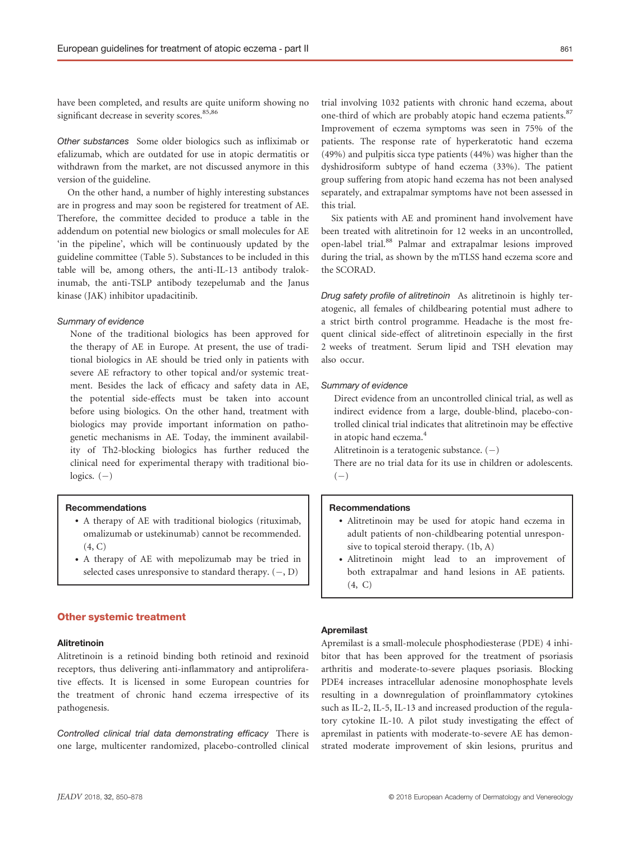have been completed, and results are quite uniform showing no significant decrease in severity scores.<sup>85,86</sup>

Other substances Some older biologics such as infliximab or efalizumab, which are outdated for use in atopic dermatitis or withdrawn from the market, are not discussed anymore in this version of the guideline.

On the other hand, a number of highly interesting substances are in progress and may soon be registered for treatment of AE. Therefore, the committee decided to produce a table in the addendum on potential new biologics or small molecules for AE 'in the pipeline', which will be continuously updated by the guideline committee (Table 5). Substances to be included in this table will be, among others, the anti-IL-13 antibody tralokinumab, the anti-TSLP antibody tezepelumab and the Janus kinase (JAK) inhibitor upadacitinib.

#### Summary of evidence

None of the traditional biologics has been approved for the therapy of AE in Europe. At present, the use of traditional biologics in AE should be tried only in patients with severe AE refractory to other topical and/or systemic treatment. Besides the lack of efficacy and safety data in AE, the potential side-effects must be taken into account before using biologics. On the other hand, treatment with biologics may provide important information on pathogenetic mechanisms in AE. Today, the imminent availability of Th2-blocking biologics has further reduced the clinical need for experimental therapy with traditional biologics.  $(-)$ 

#### Recommendations

- A therapy of AE with traditional biologics (rituximab, omalizumab or ustekinumab) cannot be recommended. (4, C)
- A therapy of AE with mepolizumab may be tried in selected cases unresponsive to standard therapy.  $(-, D)$

# Other systemic treatment

#### **Alitretinoin**

Alitretinoin is a retinoid binding both retinoid and rexinoid receptors, thus delivering anti-inflammatory and antiproliferative effects. It is licensed in some European countries for the treatment of chronic hand eczema irrespective of its pathogenesis.

Controlled clinical trial data demonstrating efficacy There is one large, multicenter randomized, placebo-controlled clinical trial involving 1032 patients with chronic hand eczema, about one-third of which are probably atopic hand eczema patients.<sup>87</sup> Improvement of eczema symptoms was seen in 75% of the patients. The response rate of hyperkeratotic hand eczema (49%) and pulpitis sicca type patients (44%) was higher than the dyshidrosiform subtype of hand eczema (33%). The patient group suffering from atopic hand eczema has not been analysed separately, and extrapalmar symptoms have not been assessed in this trial.

Six patients with AE and prominent hand involvement have been treated with alitretinoin for 12 weeks in an uncontrolled, open-label trial.88 Palmar and extrapalmar lesions improved during the trial, as shown by the mTLSS hand eczema score and the SCORAD.

Drug safety profile of alitretinoin As alitretinoin is highly teratogenic, all females of childbearing potential must adhere to a strict birth control programme. Headache is the most frequent clinical side-effect of alitretinoin especially in the first 2 weeks of treatment. Serum lipid and TSH elevation may also occur.

#### Summary of evidence

Direct evidence from an uncontrolled clinical trial, as well as indirect evidence from a large, double-blind, placebo-controlled clinical trial indicates that alitretinoin may be effective in atopic hand eczema.<sup>4</sup>

Alitretinoin is a teratogenic substance.  $(-)$ 

There are no trial data for its use in children or adolescents.  $($ 

## Recommendations

- Alitretinoin may be used for atopic hand eczema in adult patients of non-childbearing potential unresponsive to topical steroid therapy. (1b, A)
- Alitretinoin might lead to an improvement of both extrapalmar and hand lesions in AE patients. (4, C)

## Apremilast

Apremilast is a small-molecule phosphodiesterase (PDE) 4 inhibitor that has been approved for the treatment of psoriasis arthritis and moderate-to-severe plaques psoriasis. Blocking PDE4 increases intracellular adenosine monophosphate levels resulting in a downregulation of proinflammatory cytokines such as IL-2, IL-5, IL-13 and increased production of the regulatory cytokine IL-10. A pilot study investigating the effect of apremilast in patients with moderate-to-severe AE has demonstrated moderate improvement of skin lesions, pruritus and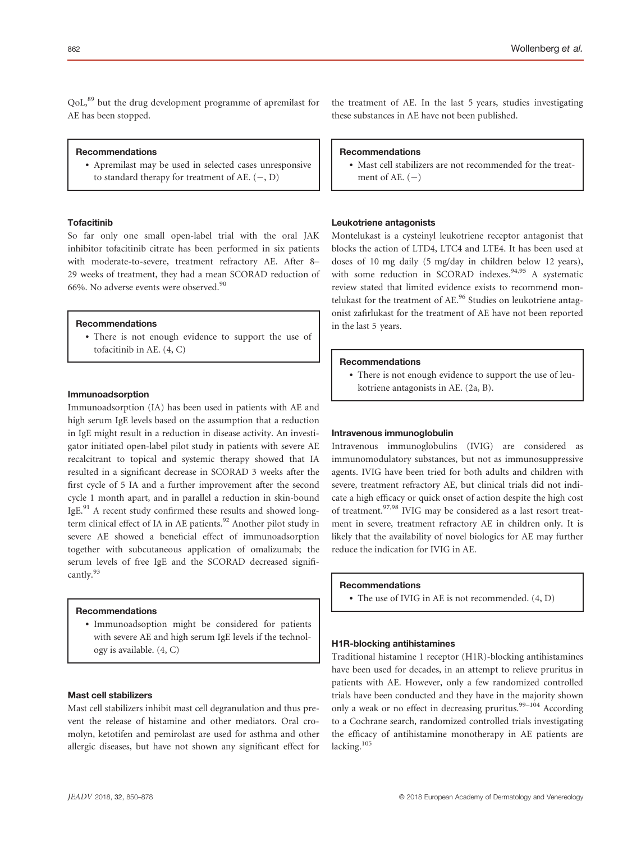QoL,<sup>89</sup> but the drug development programme of apremilast for AE has been stopped.

#### Recommendations

• Apremilast may be used in selected cases unresponsive to standard therapy for treatment of AE.  $(-, D)$ 

## **Tofacitinib**

So far only one small open-label trial with the oral JAK inhibitor tofacitinib citrate has been performed in six patients with moderate-to-severe, treatment refractory AE. After 8– 29 weeks of treatment, they had a mean SCORAD reduction of 66%. No adverse events were observed.<sup>90</sup>

## Recommendations

• There is not enough evidence to support the use of tofacitinib in AE. (4, C)

#### Immunoadsorption

Immunoadsorption (IA) has been used in patients with AE and high serum IgE levels based on the assumption that a reduction in IgE might result in a reduction in disease activity. An investigator initiated open-label pilot study in patients with severe AE recalcitrant to topical and systemic therapy showed that IA resulted in a significant decrease in SCORAD 3 weeks after the first cycle of 5 IA and a further improvement after the second cycle 1 month apart, and in parallel a reduction in skin-bound IgE. $91$  A recent study confirmed these results and showed longterm clinical effect of IA in AE patients.<sup>92</sup> Another pilot study in severe AE showed a beneficial effect of immunoadsorption together with subcutaneous application of omalizumab; the serum levels of free IgE and the SCORAD decreased significantly.<sup>93</sup>

## Recommendations

• Immunoadsoption might be considered for patients with severe AE and high serum IgE levels if the technology is available. (4, C)

# Mast cell stabilizers

Mast cell stabilizers inhibit mast cell degranulation and thus prevent the release of histamine and other mediators. Oral cromolyn, ketotifen and pemirolast are used for asthma and other allergic diseases, but have not shown any significant effect for the treatment of AE. In the last 5 years, studies investigating these substances in AE have not been published.

#### Recommendations

• Mast cell stabilizers are not recommended for the treatment of AE.  $(-)$ 

## Leukotriene antagonists

Montelukast is a cysteinyl leukotriene receptor antagonist that blocks the action of LTD4, LTC4 and LTE4. It has been used at doses of 10 mg daily (5 mg/day in children below 12 years), with some reduction in SCORAD indexes.<sup>94,95</sup> A systematic review stated that limited evidence exists to recommend montelukast for the treatment of AE.<sup>96</sup> Studies on leukotriene antagonist zafirlukast for the treatment of AE have not been reported in the last 5 years.

## Recommendations

• There is not enough evidence to support the use of leukotriene antagonists in AE. (2a, B).

#### Intravenous immunoglobulin

Intravenous immunoglobulins (IVIG) are considered as immunomodulatory substances, but not as immunosuppressive agents. IVIG have been tried for both adults and children with severe, treatment refractory AE, but clinical trials did not indicate a high efficacy or quick onset of action despite the high cost of treatment.97,98 IVIG may be considered as a last resort treatment in severe, treatment refractory AE in children only. It is likely that the availability of novel biologics for AE may further reduce the indication for IVIG in AE.

## Recommendations

• The use of IVIG in AE is not recommended.  $(4, D)$ 

# H1R-blocking antihistamines

Traditional histamine 1 receptor (H1R)-blocking antihistamines have been used for decades, in an attempt to relieve pruritus in patients with AE. However, only a few randomized controlled trials have been conducted and they have in the majority shown only a weak or no effect in decreasing pruritus.<sup>99-104</sup> According to a Cochrane search, randomized controlled trials investigating the efficacy of antihistamine monotherapy in AE patients are lacking.<sup>105</sup>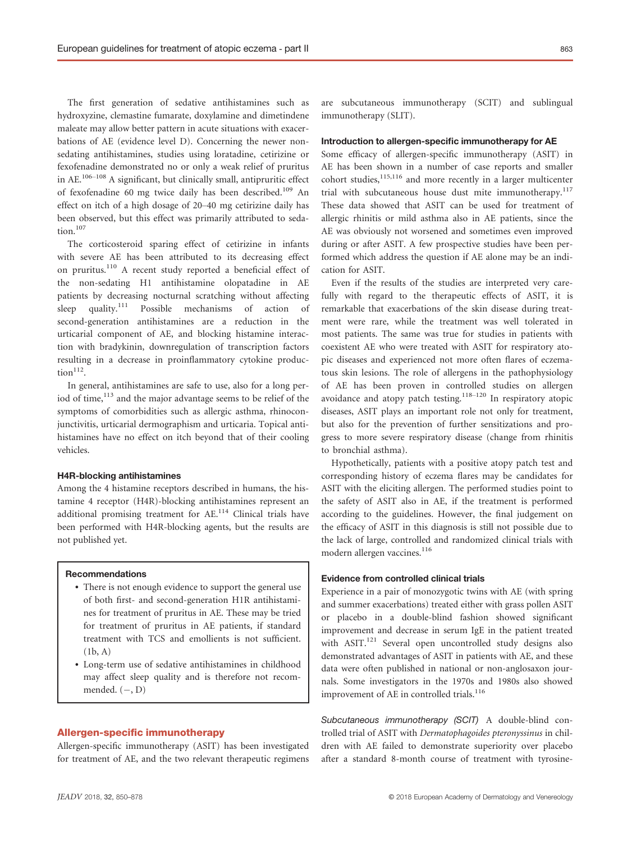The first generation of sedative antihistamines such as hydroxyzine, clemastine fumarate, doxylamine and dimetindene maleate may allow better pattern in acute situations with exacerbations of AE (evidence level D). Concerning the newer nonsedating antihistamines, studies using loratadine, cetirizine or fexofenadine demonstrated no or only a weak relief of pruritus in AE.106–<sup>108</sup> A significant, but clinically small, antipruritic effect of fexofenadine 60 mg twice daily has been described.<sup>109</sup> An effect on itch of a high dosage of 20–40 mg cetirizine daily has been observed, but this effect was primarily attributed to seda $t$ <sub>ion.</sub> $107$ 

The corticosteroid sparing effect of cetirizine in infants with severe AE has been attributed to its decreasing effect on pruritus.<sup>110</sup> A recent study reported a beneficial effect of the non-sedating H1 antihistamine olopatadine in AE patients by decreasing nocturnal scratching without affecting sleep quality.<sup>111</sup> Possible mechanisms of action of second-generation antihistamines are a reduction in the urticarial component of AE, and blocking histamine interaction with bradykinin, downregulation of transcription factors resulting in a decrease in proinflammatory cytokine produc- $\text{tion}^{112}$ .

In general, antihistamines are safe to use, also for a long period of time,<sup>113</sup> and the major advantage seems to be relief of the symptoms of comorbidities such as allergic asthma, rhinoconjunctivitis, urticarial dermographism and urticaria. Topical antihistamines have no effect on itch beyond that of their cooling vehicles.

#### H4R-blocking antihistamines

Among the 4 histamine receptors described in humans, the histamine 4 receptor (H4R)-blocking antihistamines represent an additional promising treatment for  $AE<sup>114</sup>$  Clinical trials have been performed with H4R-blocking agents, but the results are not published yet.

#### Recommendations

- There is not enough evidence to support the general use of both first- and second-generation H1R antihistamines for treatment of pruritus in AE. These may be tried for treatment of pruritus in AE patients, if standard treatment with TCS and emollients is not sufficient.  $(1b, A)$
- Long-term use of sedative antihistamines in childhood may affect sleep quality and is therefore not recommended.  $(-, D)$

## Allergen-specific immunotherapy

Allergen-specific immunotherapy (ASIT) has been investigated for treatment of AE, and the two relevant therapeutic regimens are subcutaneous immunotherapy (SCIT) and sublingual immunotherapy (SLIT).

## Introduction to allergen-specific immunotherapy for AE

Some efficacy of allergen-specific immunotherapy (ASIT) in AE has been shown in a number of case reports and smaller cohort studies,<sup>115,116</sup> and more recently in a larger multicenter trial with subcutaneous house dust mite immunotherapy.<sup>117</sup> These data showed that ASIT can be used for treatment of allergic rhinitis or mild asthma also in AE patients, since the AE was obviously not worsened and sometimes even improved during or after ASIT. A few prospective studies have been performed which address the question if AE alone may be an indication for ASIT.

Even if the results of the studies are interpreted very carefully with regard to the therapeutic effects of ASIT, it is remarkable that exacerbations of the skin disease during treatment were rare, while the treatment was well tolerated in most patients. The same was true for studies in patients with coexistent AE who were treated with ASIT for respiratory atopic diseases and experienced not more often flares of eczematous skin lesions. The role of allergens in the pathophysiology of AE has been proven in controlled studies on allergen avoidance and atopy patch testing.<sup>118–120</sup> In respiratory atopic diseases, ASIT plays an important role not only for treatment, but also for the prevention of further sensitizations and progress to more severe respiratory disease (change from rhinitis to bronchial asthma).

Hypothetically, patients with a positive atopy patch test and corresponding history of eczema flares may be candidates for ASIT with the eliciting allergen. The performed studies point to the safety of ASIT also in AE, if the treatment is performed according to the guidelines. However, the final judgement on the efficacy of ASIT in this diagnosis is still not possible due to the lack of large, controlled and randomized clinical trials with modern allergen vaccines.<sup>116</sup>

## Evidence from controlled clinical trials

Experience in a pair of monozygotic twins with AE (with spring and summer exacerbations) treated either with grass pollen ASIT or placebo in a double-blind fashion showed significant improvement and decrease in serum IgE in the patient treated with ASIT.<sup>121</sup> Several open uncontrolled study designs also demonstrated advantages of ASIT in patients with AE, and these data were often published in national or non-anglosaxon journals. Some investigators in the 1970s and 1980s also showed improvement of AE in controlled trials.<sup>116</sup>

Subcutaneous immunotherapy (SCIT) A double-blind controlled trial of ASIT with Dermatophagoides pteronyssinus in children with AE failed to demonstrate superiority over placebo after a standard 8-month course of treatment with tyrosine-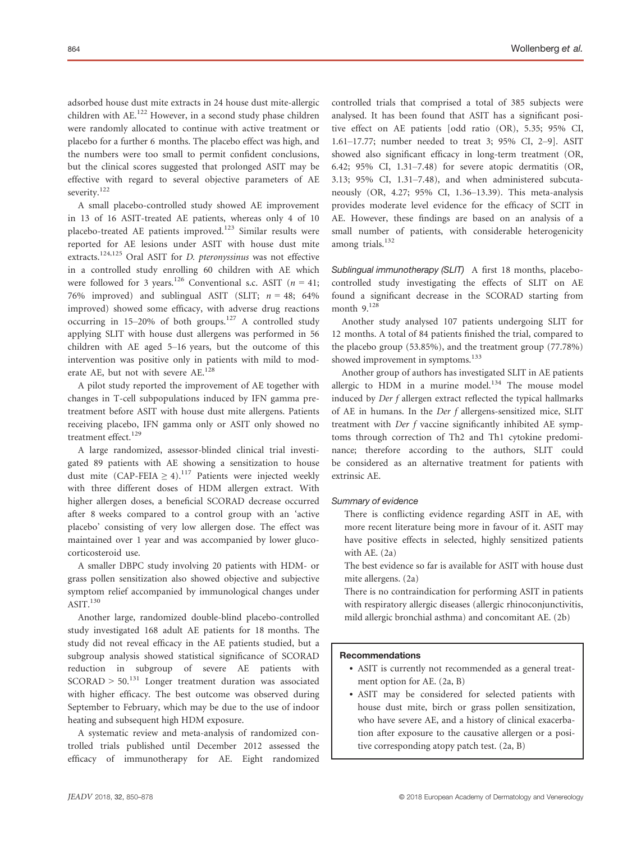adsorbed house dust mite extracts in 24 house dust mite-allergic children with AE.<sup>122</sup> However, in a second study phase children were randomly allocated to continue with active treatment or placebo for a further 6 months. The placebo effect was high, and the numbers were too small to permit confident conclusions, but the clinical scores suggested that prolonged ASIT may be effective with regard to several objective parameters of AE severity.<sup>122</sup>

A small placebo-controlled study showed AE improvement in 13 of 16 ASIT-treated AE patients, whereas only 4 of 10 placebo-treated AE patients improved.<sup>123</sup> Similar results were reported for AE lesions under ASIT with house dust mite extracts.124,125 Oral ASIT for D. pteronyssinus was not effective in a controlled study enrolling 60 children with AE which were followed for 3 years.<sup>126</sup> Conventional s.c. ASIT ( $n = 41$ ; 76% improved) and sublingual ASIT (SLIT;  $n = 48$ ; 64% improved) showed some efficacy, with adverse drug reactions occurring in  $15-20\%$  of both groups.<sup>127</sup> A controlled study applying SLIT with house dust allergens was performed in 56 children with AE aged 5–16 years, but the outcome of this intervention was positive only in patients with mild to moderate AE, but not with severe AE.<sup>128</sup>

A pilot study reported the improvement of AE together with changes in T-cell subpopulations induced by IFN gamma pretreatment before ASIT with house dust mite allergens. Patients receiving placebo, IFN gamma only or ASIT only showed no treatment effect.<sup>129</sup>

A large randomized, assessor-blinded clinical trial investigated 89 patients with AE showing a sensitization to house dust mite (CAP-FEIA  $\geq$  4).<sup>117</sup> Patients were injected weekly with three different doses of HDM allergen extract. With higher allergen doses, a beneficial SCORAD decrease occurred after 8 weeks compared to a control group with an 'active placebo' consisting of very low allergen dose. The effect was maintained over 1 year and was accompanied by lower glucocorticosteroid use.

A smaller DBPC study involving 20 patients with HDM- or grass pollen sensitization also showed objective and subjective symptom relief accompanied by immunological changes under  $AST<sup>130</sup>$ 

Another large, randomized double-blind placebo-controlled study investigated 168 adult AE patients for 18 months. The study did not reveal efficacy in the AE patients studied, but a subgroup analysis showed statistical significance of SCORAD reduction in subgroup of severe AE patients with SCORAD > 50.<sup>131</sup> Longer treatment duration was associated with higher efficacy. The best outcome was observed during September to February, which may be due to the use of indoor heating and subsequent high HDM exposure.

A systematic review and meta-analysis of randomized controlled trials published until December 2012 assessed the efficacy of immunotherapy for AE. Eight randomized controlled trials that comprised a total of 385 subjects were analysed. It has been found that ASIT has a significant positive effect on AE patients [odd ratio (OR), 5.35; 95% CI, 1.61–17.77; number needed to treat 3; 95% CI, 2–9]. ASIT showed also significant efficacy in long-term treatment (OR, 6.42; 95% CI, 1.31–7.48) for severe atopic dermatitis (OR, 3.13; 95% CI, 1.31–7.48), and when administered subcutaneously (OR, 4.27; 95% CI, 1.36–13.39). This meta-analysis provides moderate level evidence for the efficacy of SCIT in AE. However, these findings are based on an analysis of a small number of patients, with considerable heterogenicity among trials. $132$ 

Sublingual immunotherapy (SLIT) A first 18 months, placebocontrolled study investigating the effects of SLIT on AE found a significant decrease in the SCORAD starting from month 9.128

Another study analysed 107 patients undergoing SLIT for 12 months. A total of 84 patients finished the trial, compared to the placebo group (53.85%), and the treatment group (77.78%) showed improvement in symptoms.<sup>133</sup>

Another group of authors has investigated SLIT in AE patients allergic to HDM in a murine model.<sup>134</sup> The mouse model induced by Der f allergen extract reflected the typical hallmarks of AE in humans. In the Der f allergens-sensitized mice, SLIT treatment with Der f vaccine significantly inhibited AE symptoms through correction of Th2 and Th1 cytokine predominance; therefore according to the authors, SLIT could be considered as an alternative treatment for patients with extrinsic AE.

#### Summary of evidence

There is conflicting evidence regarding ASIT in AE, with more recent literature being more in favour of it. ASIT may have positive effects in selected, highly sensitized patients with AE. (2a)

The best evidence so far is available for ASIT with house dust mite allergens. (2a)

There is no contraindication for performing ASIT in patients with respiratory allergic diseases (allergic rhinoconjunctivitis, mild allergic bronchial asthma) and concomitant AE. (2b)

#### Recommendations

- ASIT is currently not recommended as a general treatment option for AE. (2a, B)
- ASIT may be considered for selected patients with house dust mite, birch or grass pollen sensitization, who have severe AE, and a history of clinical exacerbation after exposure to the causative allergen or a positive corresponding atopy patch test. (2a, B)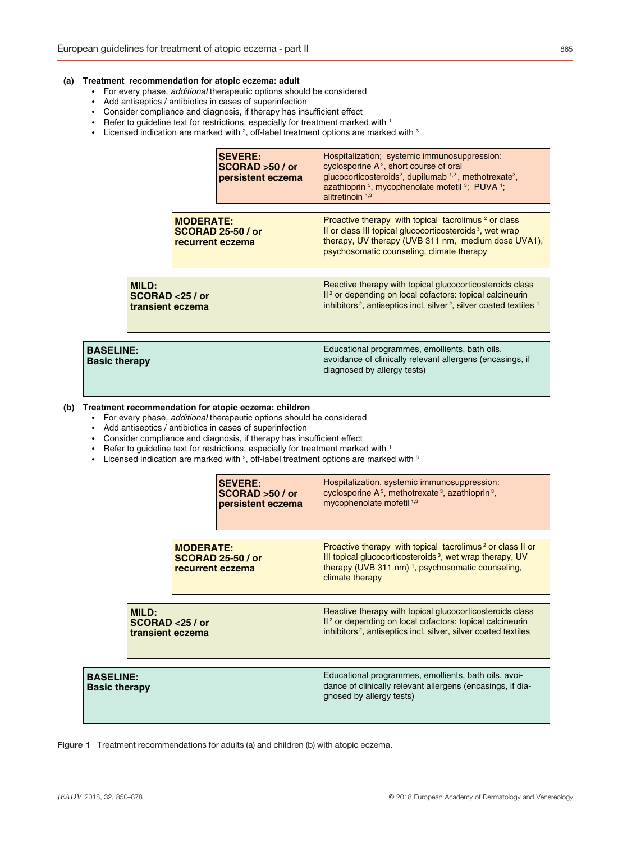#### **Treatment recommendation for atopic eczema: adult (a)**

- For every phase, *additional* therapeutic options should be considered
- Add antiseptics / antibiotics in cases of superinfection
- Consider compliance and diagnosis, if therapy has insufficient effect
- Refer to guideline text for restrictions, especially for treatment marked with 1
- Licensed indication are marked with <sup>2</sup>, off-label treatment options are marked with  ${}^{\circ}$

|                                              | <b>SEVERE:</b><br>SCORAD >50 / or<br>persistent eczema                                                                                                                                                                                                                                                                                                                                                                                                               | Hospitalization; systemic immunosuppression:<br>cyclosporine A <sup>2</sup> , short course of oral<br>glucocorticosteroids <sup>2</sup> , dupilumab <sup>1,2</sup> , methotrexate <sup>3</sup> ,<br>azathioprin <sup>3</sup> , mycophenolate mofetil <sup>3</sup> ; PUVA <sup>1</sup> ;<br>alitretinoin $1,3$ |
|----------------------------------------------|----------------------------------------------------------------------------------------------------------------------------------------------------------------------------------------------------------------------------------------------------------------------------------------------------------------------------------------------------------------------------------------------------------------------------------------------------------------------|---------------------------------------------------------------------------------------------------------------------------------------------------------------------------------------------------------------------------------------------------------------------------------------------------------------|
|                                              | <b>MODERATE:</b><br><b>SCORAD 25-50 / or</b><br>recurrent eczema                                                                                                                                                                                                                                                                                                                                                                                                     | Proactive therapy with topical tacrolimus <sup>2</sup> or class<br>II or class III topical glucocorticosteroids <sup>3</sup> , wet wrap<br>therapy, UV therapy (UVB 311 nm, medium dose UVA1),<br>psychosomatic counseling, climate therapy                                                                   |
| MILD:<br>SCORAD <25 / or<br>transient eczema |                                                                                                                                                                                                                                                                                                                                                                                                                                                                      | Reactive therapy with topical glucocorticosteroids class<br>Il <sup>2</sup> or depending on local cofactors: topical calcineurin<br>inhibitors <sup>2</sup> , antiseptics incl. silver <sup>2</sup> , silver coated textiles <sup>1</sup>                                                                     |
| <b>BASELINE:</b><br><b>Basic therapy</b>     |                                                                                                                                                                                                                                                                                                                                                                                                                                                                      | Educational programmes, emollients, bath oils,<br>avoidance of clinically relevant allergens (encasings, if<br>diagnosed by allergy tests)                                                                                                                                                                    |
| $\bullet$<br>$\bullet$                       | Treatment recommendation for atopic eczema: children<br>For every phase, additional therapeutic options should be considered<br>Add antiseptics / antibiotics in cases of superinfection<br>Consider compliance and diagnosis, if therapy has insufficient effect<br>Refer to guideline text for restrictions, especially for treatment marked with 1<br>Licensed indication are marked with <sup>2</sup> , off-label treatment options are marked with <sup>3</sup> |                                                                                                                                                                                                                                                                                                               |
|                                              | <b>SEVERE:</b><br>SCORAD >50 / or<br>persistent eczema                                                                                                                                                                                                                                                                                                                                                                                                               | Hospitalization, systemic immunosuppression:<br>cyclosporine A <sup>3</sup> , methotrexate <sup>3</sup> , azathioprin <sup>3</sup> ,<br>mycophenolate mofetil <sup>1,3</sup>                                                                                                                                  |
|                                              | <b>MODERATE:</b><br><b>SCORAD 25-50 / or</b><br>recurrent eczema                                                                                                                                                                                                                                                                                                                                                                                                     | Proactive therapy with topical tacrolimus <sup>2</sup> or class II or<br>III topical glucocorticosteroids <sup>3</sup> , wet wrap therapy, UV<br>therapy (UVB 311 nm) <sup>1</sup> , psychosomatic counseling,<br>climate therapy                                                                             |
| MILD:<br>$SCORAD < 25$ / or                  |                                                                                                                                                                                                                                                                                                                                                                                                                                                                      | Reactive therapy with topical glucocorticosteroids class<br>Il <sup>2</sup> or depending on local cofactors: topical calcineurin                                                                                                                                                                              |

**SCORAD <25 / or transient eczema**

**BASELINE: Basic therapy** Educational programmes, emollients, bath oils, avoidance of clinically relevant allergens (encasings, if diagnosed by allergy tests)

 $i$ nhibitors<sup>2</sup>, antiseptics incl. silver, silver coated textiles

Figure 1 Treatment recommendations for adults (a) and children (b) with atopic eczema.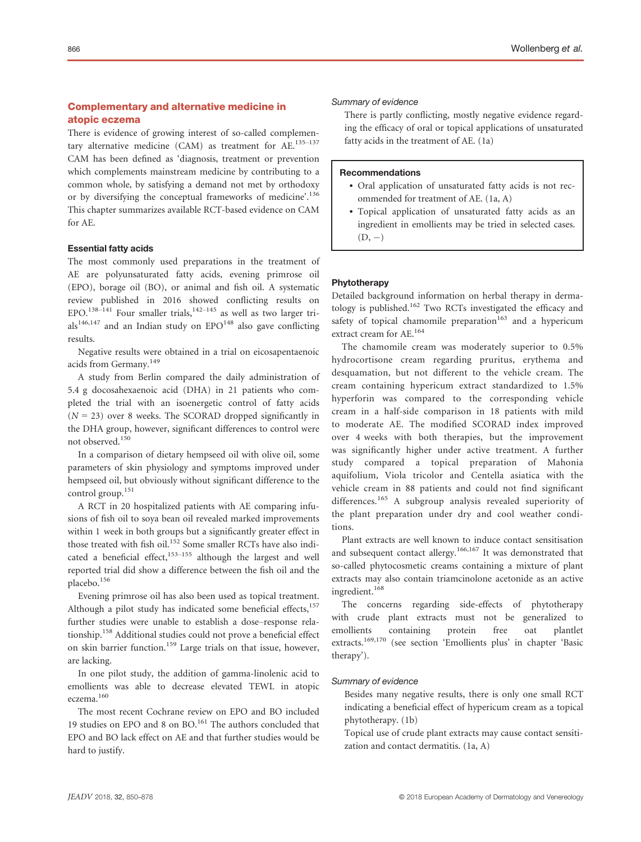# Complementary and alternative medicine in atopic eczema

There is evidence of growing interest of so-called complementary alternative medicine (CAM) as treatment for  $AE$ .<sup>135-137</sup> CAM has been defined as 'diagnosis, treatment or prevention which complements mainstream medicine by contributing to a common whole, by satisfying a demand not met by orthodoxy or by diversifying the conceptual frameworks of medicine'.<sup>136</sup> This chapter summarizes available RCT-based evidence on CAM for AE.

#### Essential fatty acids

The most commonly used preparations in the treatment of AE are polyunsaturated fatty acids, evening primrose oil (EPO), borage oil (BO), or animal and fish oil. A systematic review published in 2016 showed conflicting results on EPO.<sup>138–141</sup> Four smaller trials,  $142-145$  as well as two larger tri $als<sup>146,147</sup>$  and an Indian study on EPO<sup>148</sup> also gave conflicting results.

Negative results were obtained in a trial on eicosapentaenoic acids from Germany.<sup>149</sup>

A study from Berlin compared the daily administration of 5.4 g docosahexaenoic acid (DHA) in 21 patients who completed the trial with an isoenergetic control of fatty acids  $(N = 23)$  over 8 weeks. The SCORAD dropped significantly in the DHA group, however, significant differences to control were not observed.<sup>150</sup>

In a comparison of dietary hempseed oil with olive oil, some parameters of skin physiology and symptoms improved under hempseed oil, but obviously without significant difference to the control group.<sup>151</sup>

A RCT in 20 hospitalized patients with AE comparing infusions of fish oil to soya bean oil revealed marked improvements within 1 week in both groups but a significantly greater effect in those treated with fish oil.<sup>152</sup> Some smaller RCTs have also indicated a beneficial effect, $153-155$  although the largest and well reported trial did show a difference between the fish oil and the placebo.<sup>156</sup>

Evening primrose oil has also been used as topical treatment. Although a pilot study has indicated some beneficial effects,<sup>157</sup> further studies were unable to establish a dose–response relationship.<sup>158</sup> Additional studies could not prove a beneficial effect on skin barrier function.<sup>159</sup> Large trials on that issue, however, are lacking.

In one pilot study, the addition of gamma-linolenic acid to emollients was able to decrease elevated TEWL in atopic eczema.<sup>160</sup>

The most recent Cochrane review on EPO and BO included 19 studies on EPO and 8 on BO.<sup>161</sup> The authors concluded that EPO and BO lack effect on AE and that further studies would be hard to justify.

#### Summary of evidence

There is partly conflicting, mostly negative evidence regarding the efficacy of oral or topical applications of unsaturated fatty acids in the treatment of AE. (1a)

## Recommendations

- Oral application of unsaturated fatty acids is not recommended for treatment of AE. (1a, A)
- Topical application of unsaturated fatty acids as an ingredient in emollients may be tried in selected cases.  $(D, -)$

#### Phytotherapy

Detailed background information on herbal therapy in dermatology is published.<sup>162</sup> Two RCTs investigated the efficacy and safety of topical chamomile preparation<sup>163</sup> and a hypericum extract cream for AE.<sup>164</sup>

The chamomile cream was moderately superior to 0.5% hydrocortisone cream regarding pruritus, erythema and desquamation, but not different to the vehicle cream. The cream containing hypericum extract standardized to 1.5% hyperforin was compared to the corresponding vehicle cream in a half-side comparison in 18 patients with mild to moderate AE. The modified SCORAD index improved over 4 weeks with both therapies, but the improvement was significantly higher under active treatment. A further study compared a topical preparation of Mahonia aquifolium, Viola tricolor and Centella asiatica with the vehicle cream in 88 patients and could not find significant differences.<sup>165</sup> A subgroup analysis revealed superiority of the plant preparation under dry and cool weather conditions.

Plant extracts are well known to induce contact sensitisation and subsequent contact allergy.166,167 It was demonstrated that so-called phytocosmetic creams containing a mixture of plant extracts may also contain triamcinolone acetonide as an active ingredient.<sup>168</sup>

The concerns regarding side-effects of phytotherapy with crude plant extracts must not be generalized to emollients containing protein free oat plantlet extracts.<sup>169,170</sup> (see section 'Emollients plus' in chapter 'Basic therapy').

#### Summary of evidence

Besides many negative results, there is only one small RCT indicating a beneficial effect of hypericum cream as a topical phytotherapy. (1b)

Topical use of crude plant extracts may cause contact sensitization and contact dermatitis. (1a, A)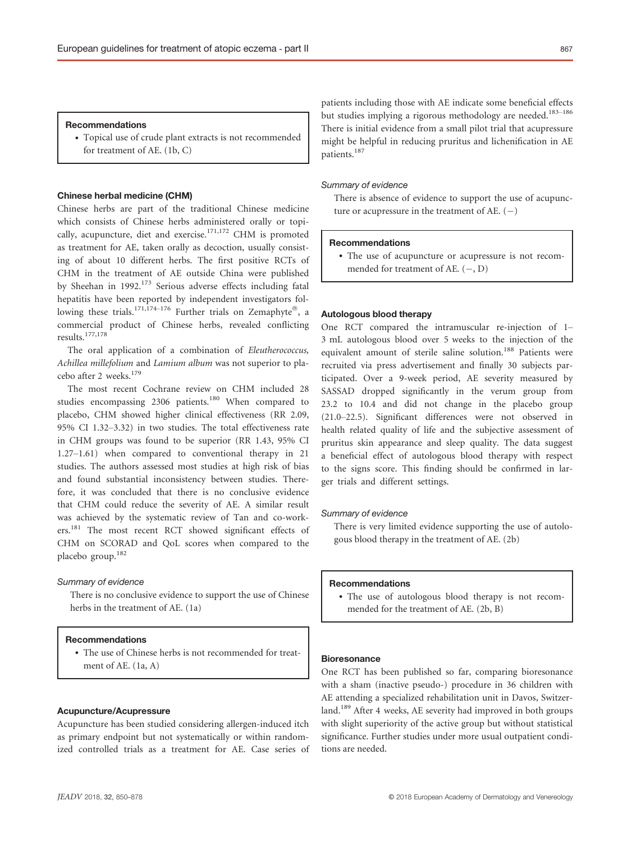#### Recommendations

• Topical use of crude plant extracts is not recommended for treatment of AE. (1b, C)

#### Chinese herbal medicine (CHM)

Chinese herbs are part of the traditional Chinese medicine which consists of Chinese herbs administered orally or topically, acupuncture, diet and exercise. $171,172$  CHM is promoted as treatment for AE, taken orally as decoction, usually consisting of about 10 different herbs. The first positive RCTs of CHM in the treatment of AE outside China were published by Sheehan in 1992.<sup>173</sup> Serious adverse effects including fatal hepatitis have been reported by independent investigators following these trials.<sup>171,174–176</sup> Further trials on Zemaphyte<sup>®</sup>, a commercial product of Chinese herbs, revealed conflicting results.177,178

The oral application of a combination of Eleutherococcus, Achillea millefolium and Lamium album was not superior to placebo after 2 weeks.<sup>179</sup>

The most recent Cochrane review on CHM included 28 studies encompassing 2306 patients.<sup>180</sup> When compared to placebo, CHM showed higher clinical effectiveness (RR 2.09, 95% CI 1.32–3.32) in two studies. The total effectiveness rate in CHM groups was found to be superior (RR 1.43, 95% CI 1.27–1.61) when compared to conventional therapy in 21 studies. The authors assessed most studies at high risk of bias and found substantial inconsistency between studies. Therefore, it was concluded that there is no conclusive evidence that CHM could reduce the severity of AE. A similar result was achieved by the systematic review of Tan and co-workers.181 The most recent RCT showed significant effects of CHM on SCORAD and QoL scores when compared to the placebo group.<sup>182</sup>

## Summary of evidence

There is no conclusive evidence to support the use of Chinese herbs in the treatment of AE. (1a)

## Recommendations

• The use of Chinese herbs is not recommended for treatment of AE. (1a, A)

## Acupuncture/Acupressure

Acupuncture has been studied considering allergen-induced itch as primary endpoint but not systematically or within randomized controlled trials as a treatment for AE. Case series of patients including those with AE indicate some beneficial effects but studies implying a rigorous methodology are needed.<sup>183-186</sup> There is initial evidence from a small pilot trial that acupressure might be helpful in reducing pruritus and lichenification in AE patients.<sup>187</sup>

#### Summary of evidence

There is absence of evidence to support the use of acupuncture or acupressure in the treatment of AE.  $(-)$ 

## Recommendations

• The use of acupuncture or acupressure is not recommended for treatment of AE.  $(-, D)$ 

#### Autologous blood therapy

One RCT compared the intramuscular re-injection of 1– 3 mL autologous blood over 5 weeks to the injection of the equivalent amount of sterile saline solution.<sup>188</sup> Patients were recruited via press advertisement and finally 30 subjects participated. Over a 9-week period, AE severity measured by SASSAD dropped significantly in the verum group from 23.2 to 10.4 and did not change in the placebo group (21.0–22.5). Significant differences were not observed in health related quality of life and the subjective assessment of pruritus skin appearance and sleep quality. The data suggest a beneficial effect of autologous blood therapy with respect to the signs score. This finding should be confirmed in larger trials and different settings.

#### Summary of evidence

There is very limited evidence supporting the use of autologous blood therapy in the treatment of AE. (2b)

## Recommendations

• The use of autologous blood therapy is not recommended for the treatment of AE. (2b, B)

#### **Bioresonance**

One RCT has been published so far, comparing bioresonance with a sham (inactive pseudo-) procedure in 36 children with AE attending a specialized rehabilitation unit in Davos, Switzerland.<sup>189</sup> After 4 weeks, AE severity had improved in both groups with slight superiority of the active group but without statistical significance. Further studies under more usual outpatient conditions are needed.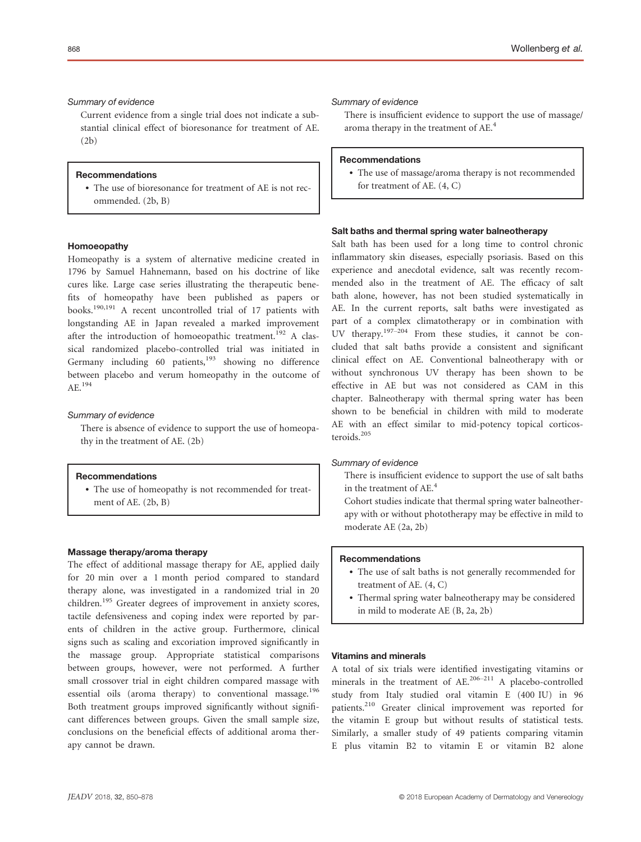## Summary of evidence

Current evidence from a single trial does not indicate a substantial clinical effect of bioresonance for treatment of AE. (2b)

## Recommendations

• The use of bioresonance for treatment of AE is not recommended. (2b, B)

## Homoeopathy

Homeopathy is a system of alternative medicine created in 1796 by Samuel Hahnemann, based on his doctrine of like cures like. Large case series illustrating the therapeutic benefits of homeopathy have been published as papers or books.190,191 A recent uncontrolled trial of 17 patients with longstanding AE in Japan revealed a marked improvement after the introduction of homoeopathic treatment.<sup>192</sup> A classical randomized placebo-controlled trial was initiated in Germany including  $60$  patients,<sup>193</sup> showing no difference between placebo and verum homeopathy in the outcome of AE.194

## Summary of evidence

There is absence of evidence to support the use of homeopathy in the treatment of AE. (2b)

## Recommendations

• The use of homeopathy is not recommended for treatment of AE. (2b, B)

#### Massage therapy/aroma therapy

The effect of additional massage therapy for AE, applied daily for 20 min over a 1 month period compared to standard therapy alone, was investigated in a randomized trial in 20 children.<sup>195</sup> Greater degrees of improvement in anxiety scores, tactile defensiveness and coping index were reported by parents of children in the active group. Furthermore, clinical signs such as scaling and excoriation improved significantly in the massage group. Appropriate statistical comparisons between groups, however, were not performed. A further small crossover trial in eight children compared massage with essential oils (aroma therapy) to conventional massage.<sup>196</sup> Both treatment groups improved significantly without significant differences between groups. Given the small sample size, conclusions on the beneficial effects of additional aroma therapy cannot be drawn.

#### Summary of evidence

There is insufficient evidence to support the use of massage/ aroma therapy in the treatment of AE.<sup>4</sup>

#### Recommendations

• The use of massage/aroma therapy is not recommended for treatment of AE. (4, C)

## Salt baths and thermal spring water balneotherapy

Salt bath has been used for a long time to control chronic inflammatory skin diseases, especially psoriasis. Based on this experience and anecdotal evidence, salt was recently recommended also in the treatment of AE. The efficacy of salt bath alone, however, has not been studied systematically in AE. In the current reports, salt baths were investigated as part of a complex climatotherapy or in combination with UV therapy.<sup>197–204</sup> From these studies, it cannot be concluded that salt baths provide a consistent and significant clinical effect on AE. Conventional balneotherapy with or without synchronous UV therapy has been shown to be effective in AE but was not considered as CAM in this chapter. Balneotherapy with thermal spring water has been shown to be beneficial in children with mild to moderate AE with an effect similar to mid-potency topical corticosteroids.<sup>205</sup>

## Summary of evidence

There is insufficient evidence to support the use of salt baths in the treatment of AE.<sup>4</sup>

Cohort studies indicate that thermal spring water balneotherapy with or without phototherapy may be effective in mild to moderate AE (2a, 2b)

## Recommendations

- The use of salt baths is not generally recommended for treatment of AE. (4, C)
- Thermal spring water balneotherapy may be considered in mild to moderate AE (B, 2a, 2b)

## Vitamins and minerals

A total of six trials were identified investigating vitamins or minerals in the treatment of AE.<sup>206–211</sup> A placebo-controlled study from Italy studied oral vitamin E (400 IU) in 96 patients.<sup>210</sup> Greater clinical improvement was reported for the vitamin E group but without results of statistical tests. Similarly, a smaller study of 49 patients comparing vitamin E plus vitamin B2 to vitamin E or vitamin B2 alone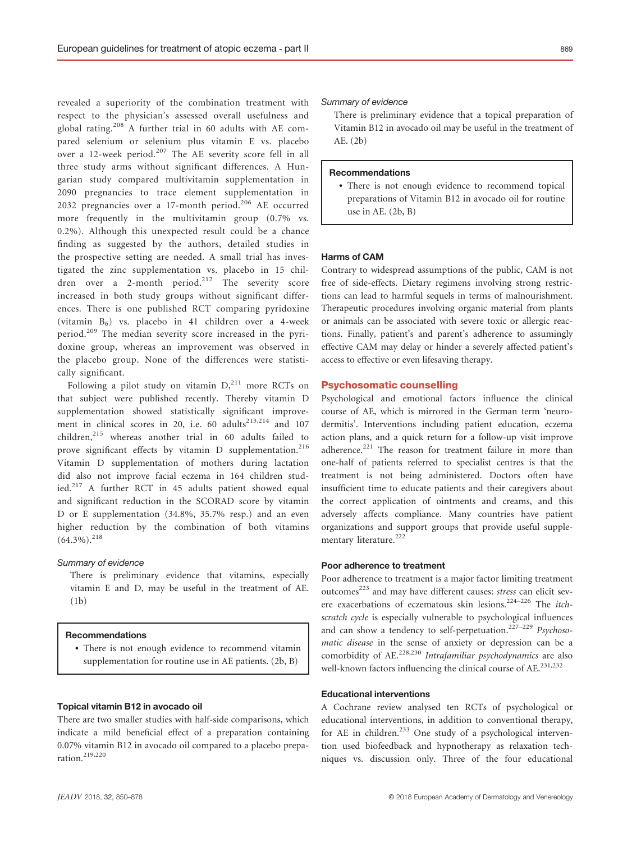revealed a superiority of the combination treatment with respect to the physician's assessed overall usefulness and global rating.<sup>208</sup> A further trial in 60 adults with AE compared selenium or selenium plus vitamin E vs. placebo over a 12-week period.<sup>207</sup> The AE severity score fell in all three study arms without significant differences. A Hungarian study compared multivitamin supplementation in 2090 pregnancies to trace element supplementation in 2032 pregnancies over a 17-month period.<sup>206</sup> AE occurred more frequently in the multivitamin group (0.7% vs. 0.2%). Although this unexpected result could be a chance finding as suggested by the authors, detailed studies in the prospective setting are needed. A small trial has investigated the zinc supplementation vs. placebo in 15 children over a 2-month period.<sup>212</sup> The severity score increased in both study groups without significant differences. There is one published RCT comparing pyridoxine (vitamin  $B_6$ ) vs. placebo in 41 children over a 4-week period.<sup>209</sup> The median severity score increased in the pyridoxine group, whereas an improvement was observed in the placebo group. None of the differences were statistically significant.

Following a pilot study on vitamin  $D<sub>1</sub><sup>211</sup>$  more RCTs on that subject were published recently. Thereby vitamin D supplementation showed statistically significant improvement in clinical scores in 20, i.e. 60 adults<sup>213,214</sup> and 107 children,<sup>215</sup> whereas another trial in 60 adults failed to prove significant effects by vitamin D supplementation.<sup>216</sup> Vitamin D supplementation of mothers during lactation did also not improve facial eczema in 164 children studied.<sup>217</sup> A further RCT in 45 adults patient showed equal and significant reduction in the SCORAD score by vitamin D or E supplementation (34.8%, 35.7% resp.) and an even higher reduction by the combination of both vitamins  $(64.3\%)$ <sup>218</sup>

## Summary of evidence

There is preliminary evidence that vitamins, especially vitamin E and D, may be useful in the treatment of AE. (1b)

# Recommendations

• There is not enough evidence to recommend vitamin supplementation for routine use in AE patients. (2b, B)

## Topical vitamin B12 in avocado oil

There are two smaller studies with half-side comparisons, which indicate a mild beneficial effect of a preparation containing 0.07% vitamin B12 in avocado oil compared to a placebo preparation.219,220

## Summary of evidence

There is preliminary evidence that a topical preparation of Vitamin B12 in avocado oil may be useful in the treatment of AE. (2b)

## Recommendations

• There is not enough evidence to recommend topical preparations of Vitamin B12 in avocado oil for routine use in AE. (2b, B)

## Harms of CAM

Contrary to widespread assumptions of the public, CAM is not free of side-effects. Dietary regimens involving strong restrictions can lead to harmful sequels in terms of malnourishment. Therapeutic procedures involving organic material from plants or animals can be associated with severe toxic or allergic reactions. Finally, patient's and parent's adherence to assumingly effective CAM may delay or hinder a severely affected patient's access to effective or even lifesaving therapy.

## Psychosomatic counselling

Psychological and emotional factors influence the clinical course of AE, which is mirrored in the German term 'neurodermitis'. Interventions including patient education, eczema action plans, and a quick return for a follow-up visit improve adherence.<sup>221</sup> The reason for treatment failure in more than one-half of patients referred to specialist centres is that the treatment is not being administered. Doctors often have insufficient time to educate patients and their caregivers about the correct application of ointments and creams, and this adversely affects compliance. Many countries have patient organizations and support groups that provide useful supplementary literature.<sup>222</sup>

## Poor adherence to treatment

Poor adherence to treatment is a major factor limiting treatment outcomes<sup>223</sup> and may have different causes: *stress* can elicit severe exacerbations of eczematous skin lesions.224–<sup>226</sup> The itchscratch cycle is especially vulnerable to psychological influences and can show a tendency to self-perpetuation.<sup>227–229</sup> Psychosomatic disease in the sense of anxiety or depression can be a comorbidity of AE.<sup>228,230</sup> Intrafamiliar psychodynamics are also well-known factors influencing the clinical course of AE.<sup>231,232</sup>

## Educational interventions

A Cochrane review analysed ten RCTs of psychological or educational interventions, in addition to conventional therapy, for AE in children. $233$  One study of a psychological intervention used biofeedback and hypnotherapy as relaxation techniques vs. discussion only. Three of the four educational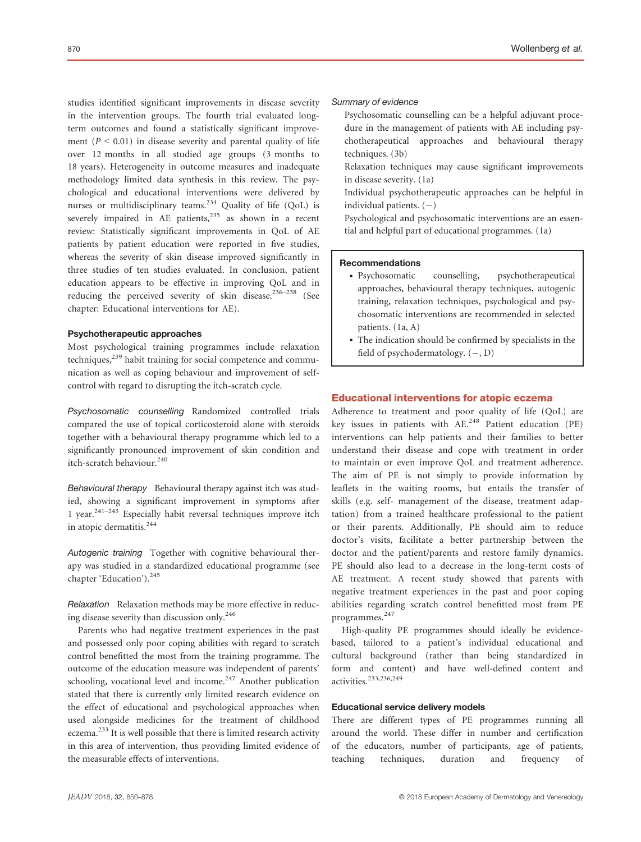studies identified significant improvements in disease severity in the intervention groups. The fourth trial evaluated longterm outcomes and found a statistically significant improvement ( $P < 0.01$ ) in disease severity and parental quality of life over 12 months in all studied age groups (3 months to 18 years). Heterogeneity in outcome measures and inadequate methodology limited data synthesis in this review. The psychological and educational interventions were delivered by nurses or multidisciplinary teams.<sup>234</sup> Quality of life (QoL) is severely impaired in AE patients, $235$  as shown in a recent review: Statistically significant improvements in QoL of AE patients by patient education were reported in five studies, whereas the severity of skin disease improved significantly in three studies of ten studies evaluated. In conclusion, patient education appears to be effective in improving QoL and in reducing the perceived severity of skin disease.<sup>236-238</sup> (See chapter: Educational interventions for AE).

## Psychotherapeutic approaches

Most psychological training programmes include relaxation techniques, $239$  habit training for social competence and communication as well as coping behaviour and improvement of selfcontrol with regard to disrupting the itch-scratch cycle.

Psychosomatic counselling Randomized controlled trials compared the use of topical corticosteroid alone with steroids together with a behavioural therapy programme which led to a significantly pronounced improvement of skin condition and itch-scratch behaviour.<sup>240</sup>

Behavioural therapy Behavioural therapy against itch was studied, showing a significant improvement in symptoms after 1 year. $241-243$  Especially habit reversal techniques improve itch in atopic dermatitis.<sup>244</sup>

Autogenic training Together with cognitive behavioural therapy was studied in a standardized educational programme (see chapter 'Education').<sup>245</sup>

Relaxation Relaxation methods may be more effective in reducing disease severity than discussion only.<sup>246</sup>

Parents who had negative treatment experiences in the past and possessed only poor coping abilities with regard to scratch control benefitted the most from the training programme. The outcome of the education measure was independent of parents' schooling, vocational level and income.<sup>247</sup> Another publication stated that there is currently only limited research evidence on the effect of educational and psychological approaches when used alongside medicines for the treatment of childhood eczema.<sup>233</sup> It is well possible that there is limited research activity in this area of intervention, thus providing limited evidence of the measurable effects of interventions.

#### Summary of evidence

Psychosomatic counselling can be a helpful adjuvant procedure in the management of patients with AE including psychotherapeutical approaches and behavioural therapy techniques. (3b)

Relaxation techniques may cause significant improvements in disease severity. (1a)

Individual psychotherapeutic approaches can be helpful in individual patients.  $(-)$ 

Psychological and psychosomatic interventions are an essential and helpful part of educational programmes. (1a)

# Recommendations

- Psychosomatic counselling, psychotherapeutical approaches, behavioural therapy techniques, autogenic training, relaxation techniques, psychological and psychosomatic interventions are recommended in selected patients. (1a, A)
- The indication should be confirmed by specialists in the field of psychodermatology.  $(-, D)$

## Educational interventions for atopic eczema

Adherence to treatment and poor quality of life (QoL) are key issues in patients with AE.<sup>248</sup> Patient education (PE) interventions can help patients and their families to better understand their disease and cope with treatment in order to maintain or even improve QoL and treatment adherence. The aim of PE is not simply to provide information by leaflets in the waiting rooms, but entails the transfer of skills (e.g. self- management of the disease, treatment adaptation) from a trained healthcare professional to the patient or their parents. Additionally, PE should aim to reduce doctor's visits, facilitate a better partnership between the doctor and the patient/parents and restore family dynamics. PE should also lead to a decrease in the long-term costs of AE treatment. A recent study showed that parents with negative treatment experiences in the past and poor coping abilities regarding scratch control benefitted most from PE programmes.<sup>247</sup>

High-quality PE programmes should ideally be evidencebased, tailored to a patient's individual educational and cultural background (rather than being standardized in form and content) and have well-defined content and activities.233,236,249

## Educational service delivery models

There are different types of PE programmes running all around the world. These differ in number and certification of the educators, number of participants, age of patients, teaching techniques, duration and frequency of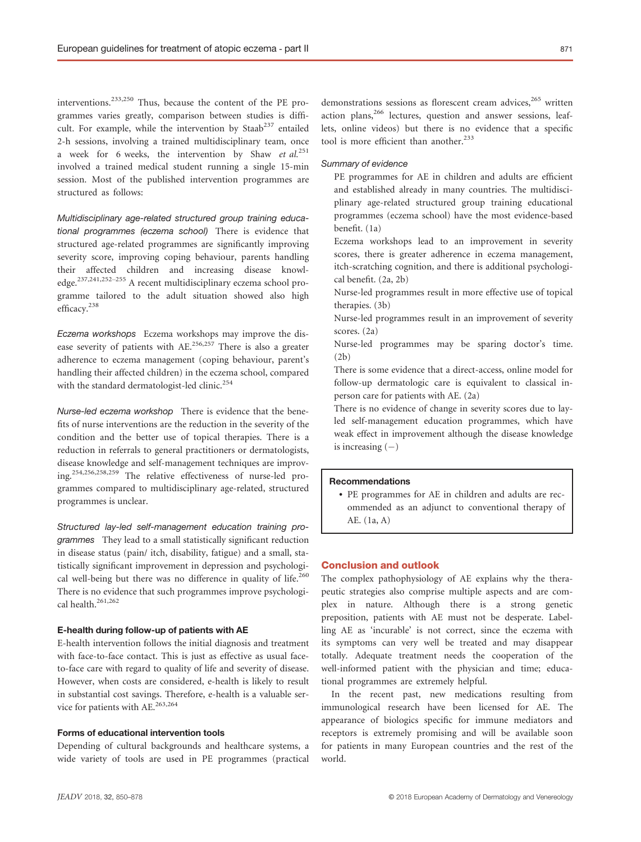interventions.233,250 Thus, because the content of the PE programmes varies greatly, comparison between studies is difficult. For example, while the intervention by  $Staab^{237}$  entailed 2-h sessions, involving a trained multidisciplinary team, once a week for 6 weeks, the intervention by Shaw et  $al.^{251}$ . involved a trained medical student running a single 15-min session. Most of the published intervention programmes are structured as follows:

Multidisciplinary age-related structured group training educational programmes (eczema school) There is evidence that structured age-related programmes are significantly improving severity score, improving coping behaviour, parents handling their affected children and increasing disease knowledge.237,241,252–<sup>255</sup> A recent multidisciplinary eczema school programme tailored to the adult situation showed also high efficacy.<sup>238</sup>

Eczema workshops Eczema workshops may improve the disease severity of patients with  $AE^{256,257}$  There is also a greater adherence to eczema management (coping behaviour, parent's handling their affected children) in the eczema school, compared with the standard dermatologist-led clinic.<sup>254</sup>

Nurse-led eczema workshop There is evidence that the benefits of nurse interventions are the reduction in the severity of the condition and the better use of topical therapies. There is a reduction in referrals to general practitioners or dermatologists, disease knowledge and self-management techniques are improving.254,256,258,259 The relative effectiveness of nurse-led programmes compared to multidisciplinary age-related, structured programmes is unclear.

Structured lay-led self-management education training programmes They lead to a small statistically significant reduction in disease status (pain/ itch, disability, fatigue) and a small, statistically significant improvement in depression and psychological well-being but there was no difference in quality of life. $260$ There is no evidence that such programmes improve psychological health.<sup>261,262</sup>

#### E-health during follow-up of patients with AE

E-health intervention follows the initial diagnosis and treatment with face-to-face contact. This is just as effective as usual faceto-face care with regard to quality of life and severity of disease. However, when costs are considered, e-health is likely to result in substantial cost savings. Therefore, e-health is a valuable service for patients with AE.<sup>263,264</sup>

## Forms of educational intervention tools

Depending of cultural backgrounds and healthcare systems, a wide variety of tools are used in PE programmes (practical demonstrations sessions as florescent cream advices,<sup>265</sup> written action plans,<sup>266</sup> lectures, question and answer sessions, leaflets, online videos) but there is no evidence that a specific tool is more efficient than another.<sup>233</sup>

#### Summary of evidence

PE programmes for AE in children and adults are efficient and established already in many countries. The multidisciplinary age-related structured group training educational programmes (eczema school) have the most evidence-based benefit. (1a)

Eczema workshops lead to an improvement in severity scores, there is greater adherence in eczema management, itch-scratching cognition, and there is additional psychological benefit. (2a, 2b)

Nurse-led programmes result in more effective use of topical therapies. (3b)

Nurse-led programmes result in an improvement of severity scores. (2a)

Nurse-led programmes may be sparing doctor's time.  $(2h)$ 

There is some evidence that a direct-access, online model for follow-up dermatologic care is equivalent to classical inperson care for patients with AE. (2a)

There is no evidence of change in severity scores due to layled self-management education programmes, which have weak effect in improvement although the disease knowledge is increasing  $(-)$ 

# Recommendations

• PE programmes for AE in children and adults are recommended as an adjunct to conventional therapy of AE. (1a, A)

## Conclusion and outlook

The complex pathophysiology of AE explains why the therapeutic strategies also comprise multiple aspects and are complex in nature. Although there is a strong genetic preposition, patients with AE must not be desperate. Labelling AE as 'incurable' is not correct, since the eczema with its symptoms can very well be treated and may disappear totally. Adequate treatment needs the cooperation of the well-informed patient with the physician and time; educational programmes are extremely helpful.

In the recent past, new medications resulting from immunological research have been licensed for AE. The appearance of biologics specific for immune mediators and receptors is extremely promising and will be available soon for patients in many European countries and the rest of the world.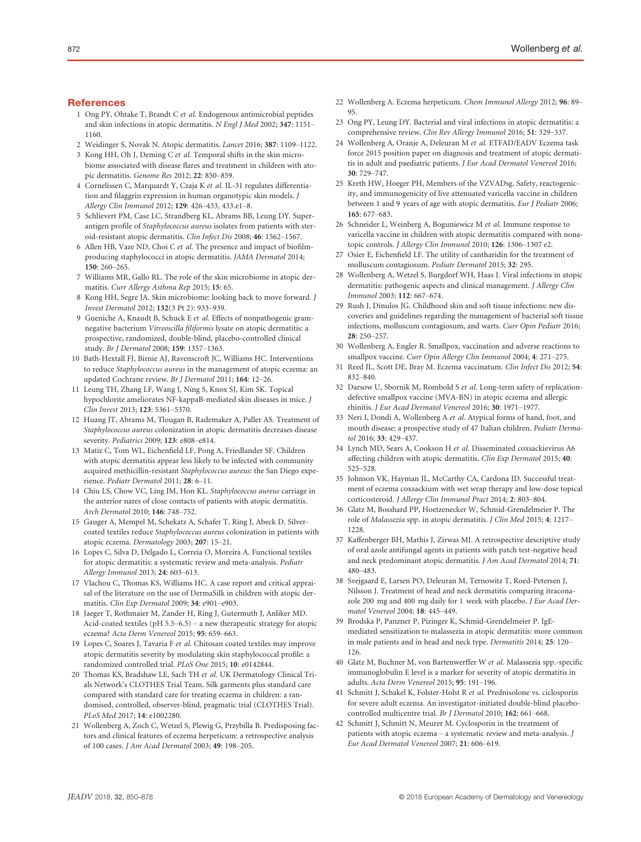## **References**

- 1 Ong PY, Ohtake T, Brandt C et al. Endogenous antimicrobial peptides and skin infections in atopic dermatitis. N Engl J Med 2002; 347: 1151– 1160.
- 2 Weidinger S, Novak N. Atopic dermatitis. Lancet 2016; 387: 1109–1122.
- 3 Kong HH, Oh J, Deming C et al. Temporal shifts in the skin microbiome associated with disease flares and treatment in children with atopic dermatitis. Genome Res 2012; 22: 850–859.
- 4 Cornelissen C, Marquardt Y, Czaja K et al. IL-31 regulates differentiation and filaggrin expression in human organotypic skin models. J Allergy Clin Immunol 2012; 129: 426–433, 433.e1–8.
- 5 Schlievert PM, Case LC, Strandberg KL, Abrams BB, Leung DY. Superantigen profile of Staphylococcus aureus isolates from patients with steroid-resistant atopic dermatitis. Clin Infect Dis 2008; 46: 1562–1567.
- 6 Allen HB, Vaze ND, Choi C et al. The presence and impact of biofilmproducing staphylococci in atopic dermatitis. JAMA Dermatol 2014; 150: 260–265.
- 7 Williams MR, Gallo RL. The role of the skin microbiome in atopic dermatitis. Curr Allergy Asthma Rep 2015; 15: 65.
- 8 Kong HH, Segre JA. Skin microbiome: looking back to move forward. J Invest Dermatol 2012; 132(3 Pt 2): 933–939.
- 9 Gueniche A, Knaudt B, Schuck E et al. Effects of nonpathogenic gramnegative bacterium Vitreoscilla filiformis lysate on atopic dermatitis: a prospective, randomized, double-blind, placebo-controlled clinical study. Br J Dermatol 2008; 159: 1357–1363.
- 10 Bath-Hextall FJ, Birnie AJ, Ravenscroft JC, Williams HC. Interventions to reduce Staphylococcus aureus in the management of atopic eczema: an updated Cochrane review. Br J Dermatol 2011; 164: 12–26.
- 11 Leung TH, Zhang LF, Wang J, Ning S, Knox SJ, Kim SK. Topical hypochlorite ameliorates NF-kappaB-mediated skin diseases in mice. J Clin Invest 2013; 123: 5361–5370.
- 12 Huang JT, Abrams M, Tlougan B, Rademaker A, Paller AS. Treatment of Staphylococcus aureus colonization in atopic dermatitis decreases disease severity. Pediatrics 2009; 123: e808–e814.
- 13 Matiz C, Tom WL, Eichenfield LF, Pong A, Friedlander SF. Children with atopic dermatitis appear less likely to be infected with community acquired methicillin-resistant Staphylococcus aureus: the San Diego experience. Pediatr Dermatol 2011; 28: 6–11.
- 14 Chiu LS, Chow VC, Ling JM, Hon KL. Staphylococcus aureus carriage in the anterior nares of close contacts of patients with atopic dermatitis. Arch Dermatol 2010; 146: 748–752.
- 15 Gauger A, Mempel M, Schekatz A, Schafer T, Ring J, Abeck D. Silvercoated textiles reduce Staphylococcus aureus colonization in patients with atopic eczema. Dermatology 2003; 207: 15–21.
- 16 Lopes C, Silva D, Delgado L, Correia O, Moreira A. Functional textiles for atopic dermatitis: a systematic review and meta-analysis. Pediatr Allergy Immunol 2013; 24: 603–613.
- 17 Vlachou C, Thomas KS, Williams HC. A case report and critical appraisal of the literature on the use of DermaSilk in children with atopic dermatitis. Clin Exp Dermatol 2009; 34: e901–e903.
- 18 Jaeger T, Rothmaier M, Zander H, Ring J, Gutermuth J, Anliker MD. Acid-coated textiles (pH 5.5–6.5) – a new therapeutic strategy for atopic eczema? Acta Derm Venereol 2015; 95: 659–663.
- 19 Lopes C, Soares J, Tavaria F et al. Chitosan coated textiles may improve atopic dermatitis severity by modulating skin staphylococcal profile: a randomized controlled trial. PLoS One 2015; 10: e0142844.
- 20 Thomas KS, Bradshaw LE, Sach TH et al. UK Dermatology Clinical Trials Network's CLOTHES Trial Team. Silk garments plus standard care compared with standard care for treating eczema in children: a randomised, controlled, observer-blind, pragmatic trial (CLOTHES Trial). PLoS Med 2017; 14: e1002280.
- 21 Wollenberg A, Zoch C, Wetzel S, Plewig G, Przybilla B. Predisposing factors and clinical features of eczema herpeticum: a retrospective analysis of 100 cases. J Am Acad Dermatol 2003; 49: 198–205.
- 22 Wollenberg A. Eczema herpeticum. Chem Immunol Allergy 2012; 96: 89– 95.
- 23 Ong PY, Leung DY. Bacterial and viral infections in atopic dermatitis: a comprehensive review. Clin Rev Allergy Immunol 2016; 51: 329–337.
- 24 Wollenberg A, Oranje A, Deleuran M et al. ETFAD/EADV Eczema task force 2015 position paper on diagnosis and treatment of atopic dermatitis in adult and paediatric patients. J Eur Acad Dermatol Venereol 2016; 30: 729–747.
- 25 Kreth HW, Hoeger PH, Members of the VZVADsg. Safety, reactogenicity, and immunogenicity of live attenuated varicella vaccine in children between 1 and 9 years of age with atopic dermatitis. Eur J Pediatr 2006; 165: 677–683.
- 26 Schneider L, Weinberg A, Boguniewicz M et al. Immune response to varicella vaccine in children with atopic dermatitis compared with nonatopic controls. J Allergy Clin Immunol 2010; 126: 1306–1307 e2.
- 27 Osier E, Eichenfield LF. The utility of cantharidin for the treatment of molluscum contagiosum. Pediatr Dermatol 2015; 32: 295.
- 28 Wollenberg A, Wetzel S, Burgdorf WH, Haas J. Viral infections in atopic dermatitis: pathogenic aspects and clinical management. J Allergy Clin Immunol 2003; 112: 667–674.
- 29 Rush J, Dinulos JG. Childhood skin and soft tissue infections: new discoveries and guidelines regarding the management of bacterial soft tissue infections, molluscum contagiosum, and warts. Curr Opin Pediatr 2016; 28: 250–257.
- 30 Wollenberg A, Engler R. Smallpox, vaccination and adverse reactions to smallpox vaccine. Curr Opin Allergy Clin Immunol 2004; 4: 271-275.
- 31 Reed JL, Scott DE, Bray M. Eczema vaccinatum. Clin Infect Dis 2012; 54: 832–840.
- 32 Darsow U, Sbornik M, Rombold S et al. Long-term safety of replicationdefective smallpox vaccine (MVA-BN) in atopic eczema and allergic rhinitis. J Eur Acad Dermatol Venereol 2016; 30: 1971–1977.
- 33 Neri I, Dondi A, Wollenberg A et al. Atypical forms of hand, foot, and mouth disease: a prospective study of 47 Italian children. Pediatr Dermatol 2016; 33: 429–437.
- 34 Lynch MD, Sears A, Cookson H et al. Disseminated coxsackievirus A6 affecting children with atopic dermatitis. Clin Exp Dermatol 2015; 40: 525–528.
- 35 Johnson VK, Hayman JL, McCarthy CA, Cardona ID. Successful treatment of eczema coxsackium with wet wrap therapy and low-dose topical corticosteroid. J Allergy Clin Immunol Pract 2014; 2: 803–804.
- 36 Glatz M, Bosshard PP, Hoetzenecker W, Schmid-Grendelmeier P. The role of Malassezia spp. in atopic dermatitis. J Clin Med 2015; 4: 1217– 1228.
- 37 Kaffenberger BH, Mathis J, Zirwas MJ. A retrospective descriptive study of oral azole antifungal agents in patients with patch test-negative head and neck predominant atopic dermatitis. J Am Acad Dermatol 2014; 71: 480–483.
- 38 Svejgaard E, Larsen PO, Deleuran M, Ternowitz T, Roed-Petersen J, Nilsson J. Treatment of head and neck dermatitis comparing itraconazole 200 mg and 400 mg daily for 1 week with placebo. J Eur Acad Dermatol Venereol 2004; 18: 445–449.
- 39 Brodska P, Panzner P, Pizinger K, Schmid-Grendelmeier P. IgEmediated sensitization to malassezia in atopic dermatitis: more common in male patients and in head and neck type. Dermatitis 2014; 25: 120– 126.
- 40 Glatz M, Buchner M, von Bartenwerffer W et al. Malassezia spp.-specific immunoglobulin E level is a marker for severity of atopic dermatitis in adults. Acta Derm Venereol 2015; 95: 191–196.
- 41 Schmitt J, Schakel K, Folster-Holst R et al. Prednisolone vs. ciclosporin for severe adult eczema. An investigator-initiated double-blind placebocontrolled multicentre trial. Br J Dermatol 2010; 162: 661–668.
- Schmitt J, Schmitt N, Meurer M. Cyclosporin in the treatment of patients with atopic eczema – a systematic review and meta-analysis. J Eur Acad Dermatol Venereol 2007; 21: 606–619.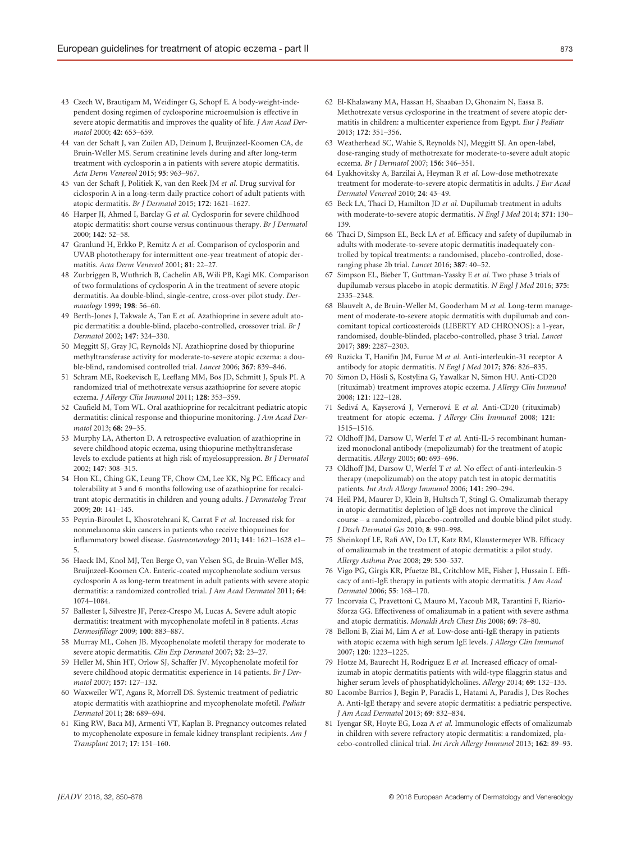- 43 Czech W, Brautigam M, Weidinger G, Schopf E. A body-weight-independent dosing regimen of cyclosporine microemulsion is effective in severe atopic dermatitis and improves the quality of life. J Am Acad Dermatol 2000; 42: 653–659.
- 44 van der Schaft J, van Zuilen AD, Deinum J, Bruijnzeel-Koomen CA, de Bruin-Weller MS. Serum creatinine levels during and after long-term treatment with cyclosporin a in patients with severe atopic dermatitis. Acta Derm Venereol 2015; 95: 963–967.
- 45 van der Schaft J, Politiek K, van den Reek JM et al. Drug survival for ciclosporin A in a long-term daily practice cohort of adult patients with atopic dermatitis. Br J Dermatol 2015; 172: 1621–1627.
- 46 Harper JI, Ahmed I, Barclay G et al. Cyclosporin for severe childhood atopic dermatitis: short course versus continuous therapy. Br J Dermatol 2000; 142: 52–58.
- 47 Granlund H, Erkko P, Remitz A et al. Comparison of cyclosporin and UVAB phototherapy for intermittent one-year treatment of atopic dermatitis. Acta Derm Venereol 2001; 81: 22–27.
- 48 Zurbriggen B, Wuthrich B, Cachelin AB, Wili PB, Kagi MK. Comparison of two formulations of cyclosporin A in the treatment of severe atopic dermatitis. Aa double-blind, single-centre, cross-over pilot study. Dermatology 1999; 198: 56–60.
- 49 Berth-Jones J, Takwale A, Tan E et al. Azathioprine in severe adult atopic dermatitis: a double-blind, placebo-controlled, crossover trial. Br J Dermatol 2002; 147: 324–330.
- 50 Meggitt SJ, Gray JC, Reynolds NJ. Azathioprine dosed by thiopurine methyltransferase activity for moderate-to-severe atopic eczema: a double-blind, randomised controlled trial. Lancet 2006; 367: 839–846.
- 51 Schram ME, Roekevisch E, Leeflang MM, Bos JD, Schmitt J, Spuls PI. A randomized trial of methotrexate versus azathioprine for severe atopic eczema. J Allergy Clin Immunol 2011; 128: 353–359.
- 52 Caufield M, Tom WL. Oral azathioprine for recalcitrant pediatric atopic dermatitis: clinical response and thiopurine monitoring. J Am Acad Dermatol 2013; 68: 29–35.
- 53 Murphy LA, Atherton D. A retrospective evaluation of azathioprine in severe childhood atopic eczema, using thiopurine methyltransferase levels to exclude patients at high risk of myelosuppression. Br J Dermatol 2002; 147: 308–315.
- 54 Hon KL, Ching GK, Leung TF, Chow CM, Lee KK, Ng PC. Efficacy and tolerability at 3 and 6 months following use of azathioprine for recalcitrant atopic dermatitis in children and young adults. J Dermatolog Treat 2009; 20: 141–145.
- 55 Peyrin-Biroulet L, Khosrotehrani K, Carrat F et al. Increased risk for nonmelanoma skin cancers in patients who receive thiopurines for inflammatory bowel disease. Gastroenterology 2011; 141: 1621–1628 e1– 5.
- 56 Haeck IM, Knol MJ, Ten Berge O, van Velsen SG, de Bruin-Weller MS, Bruijnzeel-Koomen CA. Enteric-coated mycophenolate sodium versus cyclosporin A as long-term treatment in adult patients with severe atopic dermatitis: a randomized controlled trial. J Am Acad Dermatol 2011; 64: 1074–1084.
- 57 Ballester I, Silvestre JF, Perez-Crespo M, Lucas A. Severe adult atopic dermatitis: treatment with mycophenolate mofetil in 8 patients. Actas Dermosifiliogr 2009; 100: 883–887.
- 58 Murray ML, Cohen JB. Mycophenolate mofetil therapy for moderate to severe atopic dermatitis. Clin Exp Dermatol 2007; 32: 23–27.
- 59 Heller M, Shin HT, Orlow SJ, Schaffer JV. Mycophenolate mofetil for severe childhood atopic dermatitis: experience in 14 patients. Br J Dermatol 2007; 157: 127–132.
- 60 Waxweiler WT, Agans R, Morrell DS. Systemic treatment of pediatric atopic dermatitis with azathioprine and mycophenolate mofetil. Pediatr Dermatol 2011; 28: 689–694.
- 61 King RW, Baca MJ, Armenti VT, Kaplan B. Pregnancy outcomes related to mycophenolate exposure in female kidney transplant recipients. Am J Transplant 2017; 17: 151–160.
- 62 El-Khalawany MA, Hassan H, Shaaban D, Ghonaim N, Eassa B. Methotrexate versus cyclosporine in the treatment of severe atopic dermatitis in children: a multicenter experience from Egypt. Eur J Pediatr 2013; 172: 351–356.
- 63 Weatherhead SC, Wahie S, Reynolds NJ, Meggitt SJ. An open-label, dose-ranging study of methotrexate for moderate-to-severe adult atopic eczema. Br J Dermatol 2007; 156: 346–351.
- 64 Lyakhovitsky A, Barzilai A, Heyman R et al. Low-dose methotrexate treatment for moderate-to-severe atopic dermatitis in adults. J Eur Acad Dermatol Venereol 2010; 24: 43–49.
- 65 Beck LA, Thaci D, Hamilton JD et al. Dupilumab treatment in adults with moderate-to-severe atopic dermatitis. N Engl J Med 2014; 371: 130-139.
- 66 Thaci D, Simpson EL, Beck LA et al. Efficacy and safety of dupilumab in adults with moderate-to-severe atopic dermatitis inadequately controlled by topical treatments: a randomised, placebo-controlled, doseranging phase 2b trial. Lancet 2016; 387: 40–52.
- 67 Simpson EL, Bieber T, Guttman-Yassky E et al. Two phase 3 trials of dupilumab versus placebo in atopic dermatitis. N Engl J Med 2016; 375: 2335–2348.
- 68 Blauvelt A, de Bruin-Weller M, Gooderham M et al. Long-term management of moderate-to-severe atopic dermatitis with dupilumab and concomitant topical corticosteroids (LIBERTY AD CHRONOS): a 1-year, randomised, double-blinded, placebo-controlled, phase 3 trial. Lancet 2017; 389: 2287–2303.
- 69 Ruzicka T, Hanifin JM, Furue M et al. Anti-interleukin-31 receptor A antibody for atopic dermatitis. N Engl J Med 2017; 376: 826–835.
- 70 Simon D, Hosli S, Kostylina G, Yawalkar N, Simon HU. Anti-CD20 € (rituximab) treatment improves atopic eczema. J Allergy Clin Immunol 2008; 121: 122–128.
- 71 Sedivá A, Kayserová J, Vernerová E et al. Anti-CD20 (rituximab) treatment for atopic eczema. J Allergy Clin Immunol 2008; 121: 1515–1516.
- 72 Oldhoff JM, Darsow U, Werfel T et al. Anti-IL-5 recombinant humanized monoclonal antibody (mepolizumab) for the treatment of atopic dermatitis. Allergy 2005; 60: 693–696.
- 73 Oldhoff JM, Darsow U, Werfel T et al. No effect of anti-interleukin-5 therapy (mepolizumab) on the atopy patch test in atopic dermatitis patients. Int Arch Allergy Immunol 2006; 141: 290–294.
- 74 Heil PM, Maurer D, Klein B, Hultsch T, Stingl G. Omalizumab therapy in atopic dermatitis: depletion of IgE does not improve the clinical course – a randomized, placebo-controlled and double blind pilot study. J Dtsch Dermatol Ges 2010; 8: 990–998.
- 75 Sheinkopf LE, Rafi AW, Do LT, Katz RM, Klaustermeyer WB. Efficacy of omalizumab in the treatment of atopic dermatitis: a pilot study. Allergy Asthma Proc 2008; 29: 530–537.
- 76 Vigo PG, Girgis KR, Pfuetze BL, Critchlow ME, Fisher J, Hussain I. Efficacy of anti-IgE therapy in patients with atopic dermatitis. J Am Acad Dermatol 2006; 55: 168–170.
- 77 Incorvaia C, Pravettoni C, Mauro M, Yacoub MR, Tarantini F, Riario-Sforza GG. Effectiveness of omalizumab in a patient with severe asthma and atopic dermatitis. Monaldi Arch Chest Dis 2008; 69: 78–80.
- 78 Belloni B, Ziai M, Lim A et al. Low-dose anti-IgE therapy in patients with atopic eczema with high serum IgE levels. J Allergy Clin Immunol 2007; 120: 1223–1225.
- 79 Hotze M, Baurecht H, Rodriguez E et al. Increased efficacy of omalizumab in atopic dermatitis patients with wild-type filaggrin status and higher serum levels of phosphatidylcholines. Allergy 2014; 69: 132–135.
- 80 Lacombe Barrios J, Begin P, Paradis L, Hatami A, Paradis J, Des Roches A. Anti-IgE therapy and severe atopic dermatitis: a pediatric perspective. J Am Acad Dermatol 2013; 69: 832–834.
- 81 Iyengar SR, Hoyte EG, Loza A et al. Immunologic effects of omalizumab in children with severe refractory atopic dermatitis: a randomized, placebo-controlled clinical trial. Int Arch Allergy Immunol 2013; 162: 89–93.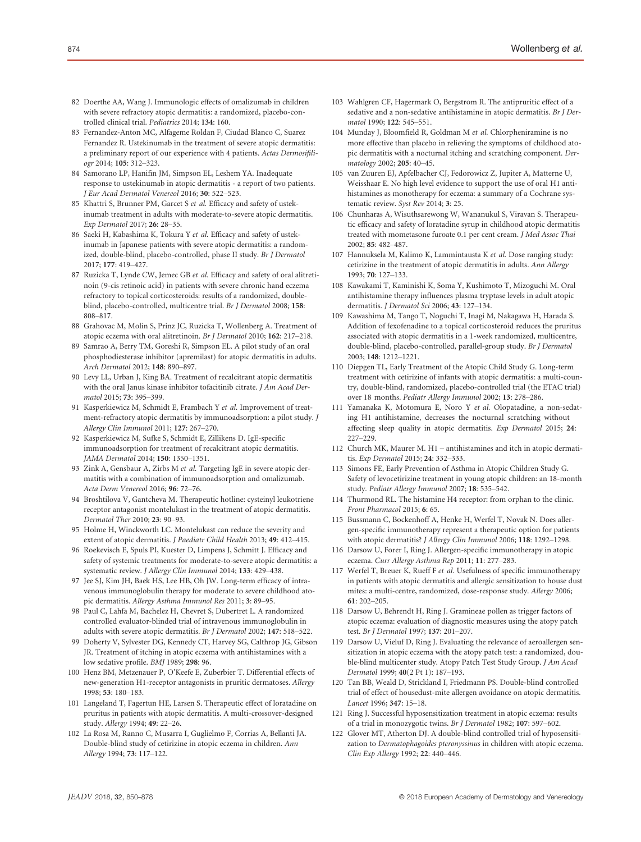- 82 Doerthe AA, Wang J. Immunologic effects of omalizumab in children with severe refractory atopic dermatitis: a randomized, placebo-controlled clinical trial. Pediatrics 2014; 134: 160.
- 83 Fernandez-Anton MC, Alfageme Roldan F, Ciudad Blanco C, Suarez Fernandez R. Ustekinumab in the treatment of severe atopic dermatitis: a preliminary report of our experience with 4 patients. Actas Dermosifiliogr 2014; 105: 312–323.
- 84 Samorano LP, Hanifin JM, Simpson EL, Leshem YA. Inadequate response to ustekinumab in atopic dermatitis - a report of two patients. J Eur Acad Dermatol Venereol 2016; 30: 522–523.
- 85 Khattri S, Brunner PM, Garcet S et al. Efficacy and safety of ustekinumab treatment in adults with moderate-to-severe atopic dermatitis. Exp Dermatol 2017; 26: 28–35.
- 86 Saeki H, Kabashima K, Tokura Y et al. Efficacy and safety of ustekinumab in Japanese patients with severe atopic dermatitis: a randomized, double-blind, placebo-controlled, phase II study. Br J Dermatol 2017; 177: 419–427.
- 87 Ruzicka T, Lynde CW, Jemec GB et al. Efficacy and safety of oral alitretinoin (9-cis retinoic acid) in patients with severe chronic hand eczema refractory to topical corticosteroids: results of a randomized, doubleblind, placebo-controlled, multicentre trial. Br J Dermatol 2008; 158: 808–817.
- 88 Grahovac M, Molin S, Prinz JC, Ruzicka T, Wollenberg A. Treatment of atopic eczema with oral alitretinoin. Br J Dermatol 2010; 162: 217–218.
- 89 Samrao A, Berry TM, Goreshi R, Simpson EL. A pilot study of an oral phosphodiesterase inhibitor (apremilast) for atopic dermatitis in adults. Arch Dermatol 2012; 148: 890–897.
- 90 Levy LL, Urban J, King BA. Treatment of recalcitrant atopic dermatitis with the oral Janus kinase inhibitor tofacitinib citrate. J Am Acad Dermatol 2015; 73: 395–399.
- 91 Kasperkiewicz M, Schmidt E, Frambach Y et al. Improvement of treatment-refractory atopic dermatitis by immunoadsorption: a pilot study. J Allergy Clin Immunol 2011; 127: 267–270.
- 92 Kasperkiewicz M, Sufke S, Schmidt E, Zillikens D. IgE-specific immunoadsorption for treatment of recalcitrant atopic dermatitis. JAMA Dermatol 2014; 150: 1350–1351.
- 93 Zink A, Gensbaur A, Zirbs M et al. Targeting IgE in severe atopic dermatitis with a combination of immunoadsorption and omalizumab. Acta Derm Venereol 2016; 96: 72–76.
- 94 Broshtilova V, Gantcheva M. Therapeutic hotline: cysteinyl leukotriene receptor antagonist montelukast in the treatment of atopic dermatitis. Dermatol Ther 2010; 23: 90–93.
- 95 Holme H, Winckworth LC. Montelukast can reduce the severity and extent of atopic dermatitis. J Paediatr Child Health 2013; 49: 412–415.
- 96 Roekevisch E, Spuls PI, Kuester D, Limpens J, Schmitt J. Efficacy and safety of systemic treatments for moderate-to-severe atopic dermatitis: a systematic review. J Allergy Clin Immunol 2014; 133: 429–438.
- 97 Jee SJ, Kim JH, Baek HS, Lee HB, Oh JW. Long-term efficacy of intravenous immunoglobulin therapy for moderate to severe childhood atopic dermatitis. Allergy Asthma Immunol Res 2011; 3: 89–95.
- 98 Paul C, Lahfa M, Bachelez H, Chevret S, Dubertret L. A randomized controlled evaluator-blinded trial of intravenous immunoglobulin in adults with severe atopic dermatitis. Br J Dermatol 2002; 147: 518–522.
- 99 Doherty V, Sylvester DG, Kennedy CT, Harvey SG, Calthrop JG, Gibson JR. Treatment of itching in atopic eczema with antihistamines with a low sedative profile. BMJ 1989; 298: 96.
- 100 Henz BM, Metzenauer P, O'Keefe E, Zuberbier T. Differential effects of new-generation H1-receptor antagonists in pruritic dermatoses. Allergy 1998; 53: 180–183.
- 101 Langeland T, Fagertun HE, Larsen S. Therapeutic effect of loratadine on pruritus in patients with atopic dermatitis. A multi-crossover-designed study. Allergy 1994; 49: 22–26.
- 102 La Rosa M, Ranno C, Musarra I, Guglielmo F, Corrias A, Bellanti JA. Double-blind study of cetirizine in atopic eczema in children. Ann Allergy 1994; 73: 117–122.
- 103 Wahlgren CF, Hagermark O, Bergstrom R. The antipruritic effect of a sedative and a non-sedative antihistamine in atopic dermatitis. Br J Dermatol 1990; 122: 545–551.
- 104 Munday J, Bloomfield R, Goldman M et al. Chlorpheniramine is no more effective than placebo in relieving the symptoms of childhood atopic dermatitis with a nocturnal itching and scratching component. Dermatology 2002; 205: 40–45.
- 105 van Zuuren EJ, Apfelbacher CJ, Fedorowicz Z, Jupiter A, Matterne U, Weisshaar E. No high level evidence to support the use of oral H1 antihistamines as monotherapy for eczema: a summary of a Cochrane systematic review. Syst Rev 2014; 3: 25.
- 106 Chunharas A, Wisuthsarewong W, Wananukul S, Viravan S. Therapeutic efficacy and safety of loratadine syrup in childhood atopic dermatitis treated with mometasone furoate 0.1 per cent cream. J Med Assoc Thai 2002; 85: 482–487.
- 107 Hannuksela M, Kalimo K, Lammintausta K et al. Dose ranging study: cetirizine in the treatment of atopic dermatitis in adults. Ann Allergy 1993; 70: 127–133.
- 108 Kawakami T, Kaminishi K, Soma Y, Kushimoto T, Mizoguchi M. Oral antihistamine therapy influences plasma tryptase levels in adult atopic dermatitis. J Dermatol Sci 2006; 43: 127–134.
- 109 Kawashima M, Tango T, Noguchi T, Inagi M, Nakagawa H, Harada S. Addition of fexofenadine to a topical corticosteroid reduces the pruritus associated with atopic dermatitis in a 1-week randomized, multicentre, double-blind, placebo-controlled, parallel-group study. Br J Dermatol 2003; 148: 1212–1221.
- 110 Diepgen TL, Early Treatment of the Atopic Child Study G. Long-term treatment with cetirizine of infants with atopic dermatitis: a multi-country, double-blind, randomized, placebo-controlled trial (the ETAC trial) over 18 months. Pediatr Allergy Immunol 2002; 13: 278–286.
- 111 Yamanaka K, Motomura E, Noro Y et al. Olopatadine, a non-sedating H1 antihistamine, decreases the nocturnal scratching without affecting sleep quality in atopic dermatitis. Exp Dermatol 2015; 24: 227–229.
- 112 Church MK, Maurer M. H1 antihistamines and itch in atopic dermatitis. Exp Dermatol 2015; 24: 332–333.
- 113 Simons FE, Early Prevention of Asthma in Atopic Children Study G. Safety of levocetirizine treatment in young atopic children: an 18-month study. Pediatr Allergy Immunol 2007; 18: 535–542.
- 114 Thurmond RL. The histamine H4 receptor: from orphan to the clinic. Front Pharmacol 2015; 6: 65.
- 115 Bussmann C, Bockenhoff A, Henke H, Werfel T, Novak N. Does allergen-specific immunotherapy represent a therapeutic option for patients with atopic dermatitis? J Allergy Clin Immunol 2006; 118: 1292–1298.
- 116 Darsow U, Forer I, Ring J. Allergen-specific immunotherapy in atopic eczema. Curr Allergy Asthma Rep 2011; 11: 277–283.
- 117 Werfel T, Breuer K, Rueff F et al. Usefulness of specific immunotherapy in patients with atopic dermatitis and allergic sensitization to house dust mites: a multi-centre, randomized, dose-response study. Allergy 2006; 61: 202–205.
- 118 Darsow U, Behrendt H, Ring J. Gramineae pollen as trigger factors of atopic eczema: evaluation of diagnostic measures using the atopy patch test. Br J Dermatol 1997; 137: 201–207.
- 119 Darsow U, Vieluf D, Ring J. Evaluating the relevance of aeroallergen sensitization in atopic eczema with the atopy patch test: a randomized, double-blind multicenter study. Atopy Patch Test Study Group. J Am Acad Dermatol 1999; 40(2 Pt 1): 187–193.
- 120 Tan BB, Weald D, Strickland I, Friedmann PS. Double-blind controlled trial of effect of housedust-mite allergen avoidance on atopic dermatitis. Lancet 1996; 347: 15–18.
- 121 Ring J. Successful hyposensitization treatment in atopic eczema: results of a trial in monozygotic twins. Br J Dermatol 1982; 107: 597–602.
- 122 Glover MT, Atherton DJ. A double-blind controlled trial of hyposensitization to Dermatophagoides pteronyssinus in children with atopic eczema. Clin Exp Allergy 1992; 22: 440–446.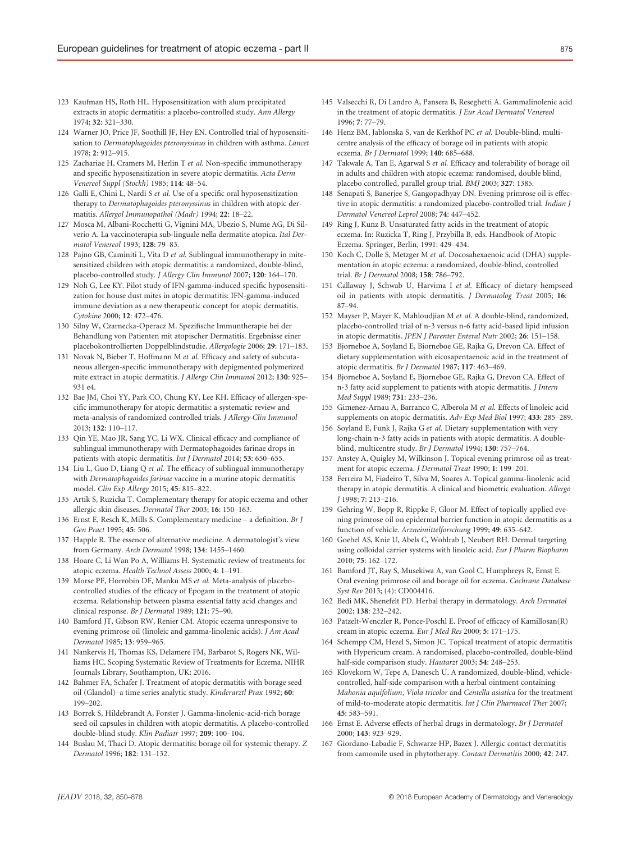- 123 Kaufman HS, Roth HL. Hyposensitization with alum precipitated extracts in atopic dermatitis: a placebo-controlled study. Ann Allergy 1974; 32: 321–330.
- 124 Warner JO, Price JF, Soothill JF, Hey EN. Controlled trial of hyposensitisation to Dermatophagoides pteronyssinus in children with asthma. Lancet 1978; 2: 912–915.
- 125 Zachariae H, Cramers M, Herlin T et al. Non-specific immunotherapy and specific hyposensitization in severe atopic dermatitis. Acta Derm Venereol Suppl (Stockh) 1985; 114: 48–54.
- 126 Galli E, Chini L, Nardi S et al. Use of a specific oral hyposensitization therapy to Dermatophagoides pteronyssinus in children with atopic dermatitis. Allergol Immunopathol (Madr) 1994; 22: 18–22.
- 127 Mosca M, Albani-Rocchetti G, Vignini MA, Ubezio S, Nume AG, Di Silverio A. La vaccinoterapia sub-linguale nella dermatite atopica. Ital Dermatol Venereol 1993; 128: 79–83.
- 128 Pajno GB, Caminiti L, Vita D et al. Sublingual immunotherapy in mitesensitized children with atopic dermatitis: a randomized, double-blind, placebo-controlled study. J Allergy Clin Immunol 2007; 120: 164–170.
- 129 Noh G, Lee KY. Pilot study of IFN-gamma-induced specific hyposensitization for house dust mites in atopic dermatitis: IFN-gamma-induced immune deviation as a new therapeutic concept for atopic dermatitis. Cytokine 2000; 12: 472–476.
- 130 Silny W, Czarnecka-Operacz M. Spezifische Immuntherapie bei der Behandlung von Patienten mit atopischer Dermatitis. Ergebnisse einer placebokontrollierten Doppelblindstudie. Allergologie 2006; 29: 171–183.
- 131 Novak N, Bieber T, Hoffmann M et al. Efficacy and safety of subcutaneous allergen-specific immunotherapy with depigmented polymerized mite extract in atopic dermatitis. J Allergy Clin Immunol 2012; 130: 925– 931 e4.
- 132 Bae JM, Choi YY, Park CO, Chung KY, Lee KH. Efficacy of allergen-specific immunotherapy for atopic dermatitis: a systematic review and meta-analysis of randomized controlled trials. J Allergy Clin Immunol 2013; 132: 110–117.
- 133 Qin YE, Mao JR, Sang YC, Li WX. Clinical efficacy and compliance of sublingual immunotherapy with Dermatophagoides farinae drops in patients with atopic dermatitis. Int J Dermatol 2014; 53: 650-655.
- 134 Liu L, Guo D, Liang Q et al. The efficacy of sublingual immunotherapy with Dermatophagoides farinae vaccine in a murine atopic dermatitis model. Clin Exp Allergy 2015; 45: 815–822.
- 135 Artik S, Ruzicka T. Complementary therapy for atopic eczema and other allergic skin diseases. Dermatol Ther 2003; 16: 150–163.
- 136 Ernst E, Resch K, Mills S. Complementary medicine a definition. Br J Gen Pract 1995; 45: 506.
- 137 Happle R. The essence of alternative medicine. A dermatologist's view from Germany. Arch Dermatol 1998; 134: 1455–1460.
- 138 Hoare C, Li Wan Po A, Williams H. Systematic review of treatments for atopic eczema. Health Technol Assess 2000; 4: 1–191.
- 139 Morse PF, Horrobin DF, Manku MS et al. Meta-analysis of placebocontrolled studies of the efficacy of Epogam in the treatment of atopic eczema. Relationship between plasma essential fatty acid changes and clinical response. Br J Dermatol 1989; 121: 75–90.
- 140 Bamford JT, Gibson RW, Renier CM. Atopic eczema unresponsive to evening primrose oil (linoleic and gamma-linolenic acids). J Am Acad Dermatol 1985; 13: 959–965.
- 141 Nankervis H, Thomas KS, Delamere FM, Barbarot S, Rogers NK, Williams HC. Scoping Systematic Review of Treatments for Eczema. NIHR Journals Library, Southampton, UK: 2016.
- 142 Bahmer FA, Schafer J. Treatment of atopic dermatitis with borage seed oil (Glandol)–a time series analytic study. Kinderarztl Prax 1992; 60: 199–202.
- 143 Borrek S, Hildebrandt A, Forster J. Gamma-linolenic-acid-rich borage seed oil capsules in children with atopic dermatitis. A placebo-controlled double-blind study. Klin Padiatr 1997; 209: 100–104.
- 144 Buslau M, Thaci D. Atopic dermatitis: borage oil for systemic therapy. Z Dermatol 1996; 182: 131–132.
- 145 Valsecchi R, Di Landro A, Pansera B, Reseghetti A. Gammalinolenic acid in the treatment of atopic dermatitis. J Eur Acad Dermatol Venereol 1996; 7: 77–79.
- 146 Henz BM, Jablonska S, van de Kerkhof PC et al. Double-blind, multicentre analysis of the efficacy of borage oil in patients with atopic eczema. Br J Dermatol 1999; 140: 685–688.
- 147 Takwale A, Tan E, Agarwal S et al. Efficacy and tolerability of borage oil in adults and children with atopic eczema: randomised, double blind, placebo controlled, parallel group trial. BMJ 2003; 327: 1385.
- 148 Senapati S, Banerjee S, Gangopadhyay DN. Evening primrose oil is effective in atopic dermatitis: a randomized placebo-controlled trial. Indian J Dermatol Venereol Leprol 2008; 74: 447–452.
- 149 Ring J, Kunz B. Unsaturated fatty acids in the treatment of atopic eczema. In: Ruzicka T, Ring J, Przybilla B, eds. Handbook of Atopic Eczema. Springer, Berlin, 1991: 429–434.
- 150 Koch C, Dolle S, Metzger M et al. Docosahexaenoic acid (DHA) supplementation in atopic eczema: a randomized, double-blind, controlled trial. Br J Dermatol 2008; 158: 786–792.
- 151 Callaway J, Schwab U, Harvima I et al. Efficacy of dietary hempseed oil in patients with atopic dermatitis. J Dermatolog Treat 2005; 16: 87–94.
- 152 Mayser P, Mayer K, Mahloudjian M et al. A double-blind, randomized, placebo-controlled trial of n-3 versus n-6 fatty acid-based lipid infusion in atopic dermatitis. JPEN J Parenter Enteral Nutr 2002; 26: 151–158.
- 153 Bjorneboe A, Soyland E, Bjorneboe GE, Rajka G, Drevon CA. Effect of dietary supplementation with eicosapentaenoic acid in the treatment of atopic dermatitis. Br J Dermatol 1987; 117: 463–469.
- 154 Bjorneboe A, Soyland E, Bjorneboe GE, Rajka G, Drevon CA. Effect of n-3 fatty acid supplement to patients with atopic dermatitis. J Intern Med Suppl 1989; 731: 233–236.
- 155 Gimenez-Arnau A, Barranco C, Alberola M et al. Effects of linoleic acid supplements on atopic dermatitis. Adv Exp Med Biol 1997; 433: 285–289.
- 156 Soyland E, Funk J, Rajka G et al. Dietary supplementation with very long-chain n-3 fatty acids in patients with atopic dermatitis. A doubleblind, multicentre study. Br J Dermatol 1994; 130: 757–764.
- 157 Anstey A, Quigley M, Wilkinson J. Topical evening primrose oil as treatment for atopic eczema. J Dermatol Treat 1990; 1: 199–201.
- 158 Ferreira M, Fiadeiro T, Silva M, Soares A. Topical gamma-linolenic acid therapy in atopic dermatitis. A clinical and biometric evaluation. Allergo J 1998; 7: 213–216.
- 159 Gehring W, Bopp R, Rippke F, Gloor M. Effect of topically applied evening primrose oil on epidermal barrier function in atopic dermatitis as a function of vehicle. Arzneimittelforschung 1999; 49: 635–642.
- 160 Goebel AS, Knie U, Abels C, Wohlrab J, Neubert RH. Dermal targeting using colloidal carrier systems with linoleic acid. Eur J Pharm Biopharm 2010; 75: 162–172.
- 161 Bamford JT, Ray S, Musekiwa A, van Gool C, Humphreys R, Ernst E. Oral evening primrose oil and borage oil for eczema. Cochrane Database Syst Rev 2013; (4): CD004416.
- 162 Bedi MK, Shenefelt PD. Herbal therapy in dermatology. Arch Dermatol 2002; 138: 232–242.
- 163 Patzelt-Wenczler R, Ponce-Poschl E. Proof of efficacy of Kamillosan(R) cream in atopic eczema. Eur J Med Res 2000; 5: 171–175.
- 164 Schempp CM, Hezel S, Simon JC. Topical treatment of atopic dermatitis with Hypericum cream. A randomised, placebo-controlled, double-blind half-side comparison study. Hautarzt 2003; 54: 248–253.
- 165 Klovekorn W, Tepe A, Danesch U. A randomized, double-blind, vehiclecontrolled, half-side comparison with a herbal ointment containing Mahonia aquifolium, Viola tricolor and Centella asiatica for the treatment of mild-to-moderate atopic dermatitis. Int J Clin Pharmacol Ther 2007; 45: 583–591.
- 166 Ernst E. Adverse effects of herbal drugs in dermatology. Br J Dermatol 2000; 143: 923–929.
- 167 Giordano-Labadie F, Schwarze HP, Bazex J. Allergic contact dermatitis from camomile used in phytotherapy. Contact Dermatitis 2000; 42: 247.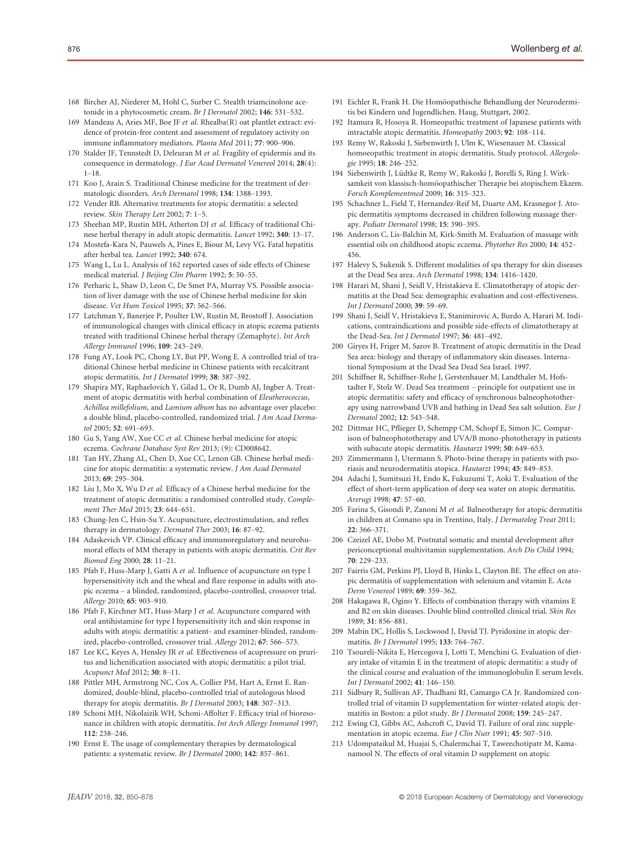- 168 Bircher AJ, Niederer M, Hohl C, Surber C. Stealth triamcinolone acetonide in a phytocosmetic cream. Br J Dermatol 2002; 146: 531–532.
- 169 Mandeau A, Aries MF, Boe JF et al. Rhealba(R) oat plantlet extract: evidence of protein-free content and assessment of regulatory activity on immune inflammatory mediators. Planta Med 2011; 77: 900–906.
- 170 Stalder JF, Tennstedt D, Deleuran M et al. Fragility of epidermis and its consequence in dermatology. J Eur Acad Dermatol Venereol 2014; 28(4): 1–18.
- 171 Koo J, Arain S. Traditional Chinese medicine for the treatment of dermatologic disorders. Arch Dermatol 1998; 134: 1388–1393.
- 172 Vender RB. Alternative treatments for atopic dermatitis: a selected review. Skin Therapy Lett 2002; 7: 1–5.
- 173 Sheehan MP, Rustin MH, Atherton DJ et al. Efficacy of traditional Chinese herbal therapy in adult atopic dermatitis. Lancet 1992; 340: 13–17.
- 174 Mostefa-Kara N, Pauwels A, Pines E, Biour M, Levy VG. Fatal hepatitis after herbal tea. Lancet 1992; 340: 674.
- 175 Wang L, Lu L. Analysis of 162 reported cases of side effects of Chinese medical material. J Beijing Clin Pharm 1992; 5: 50–55.
- 176 Perharic L, Shaw D, Leon C, De Smet PA, Murray VS. Possible association of liver damage with the use of Chinese herbal medicine for skin disease. Vet Hum Toxicol 1995; 37: 562–566.
- 177 Latchman Y, Banerjee P, Poulter LW, Rustin M, Brostoff J. Association of immunological changes with clinical efficacy in atopic eczema patients treated with traditional Chinese herbal therapy (Zemaphyte). Int Arch Allergy Immunol 1996; 109: 243–249.
- 178 Fung AY, Look PC, Chong LY, But PP, Wong E. A controlled trial of traditional Chinese herbal medicine in Chinese patients with recalcitrant atopic dermatitis. Int J Dermatol 1999; 38: 387–392.
- 179 Shapira MY, Raphaelovich Y, Gilad L, Or R, Dumb AJ, Ingber A. Treatment of atopic dermatitis with herbal combination of Eleutherococcus, Achillea millefolium, and Lamium album has no advantage over placebo: a double blind, placebo-controlled, randomized trial. J Am Acad Dermatol 2005; 52: 691–693.
- 180 Gu S, Yang AW, Xue CC et al. Chinese herbal medicine for atopic eczema. Cochrane Database Syst Rev 2013; (9): CD008642.
- 181 Tan HY, Zhang AL, Chen D, Xue CC, Lenon GB. Chinese herbal medicine for atopic dermatitis: a systematic review. J Am Acad Dermatol 2013; 69: 295–304.
- 182 Liu J, Mo X, Wu D et al. Efficacy of a Chinese herbal medicine for the treatment of atopic dermatitis: a randomised controlled study. Complement Ther Med 2015; 23: 644–651.
- 183 Chung-Jen C, Hsin-Su Y. Acupuncture, electrostimulation, and reflex therapy in dermatology. Dermatol Ther 2003; 16: 87–92.
- 184 Adaskevich VP. Clinical efficacy and immunoregulatory and neurohumoral effects of MM therapy in patients with atopic dermatitis. Crit Rev Biomed Eng 2000; 28: 11–21.
- 185 Pfab F, Huss-Marp J, Gatti A et al. Influence of acupuncture on type I hypersensitivity itch and the wheal and flare response in adults with atopic eczema – a blinded, randomized, placebo-controlled, crossover trial. Allergy 2010; 65: 903–910.
- 186 Pfab F, Kirchner MT, Huss-Marp J et al. Acupuncture compared with oral antihistamine for type I hypersensitivity itch and skin response in adults with atopic dermatitis: a patient- and examiner-blinded, randomized, placebo-controlled, crossover trial. Allergy 2012; 67: 566–573.
- 187 Lee KC, Keyes A, Hensley JR et al. Effectiveness of acupressure on pruritus and lichenification associated with atopic dermatitis: a pilot trial. Acupunct Med 2012; 30: 8–11.
- 188 Pittler MH, Armstrong NC, Cox A, Collier PM, Hart A, Ernst E. Randomized, double-blind, placebo-controlled trial of autologous blood therapy for atopic dermatitis. Br J Dermatol 2003; 148: 307–313.
- 189 Schoni MH, Nikolaizik WH, Schoni-Affolter F. Efficacy trial of bioresonance in children with atopic dermatitis. Int Arch Allergy Immunol 1997; 112: 238–246.
- 190 Ernst E. The usage of complementary therapies by dermatological patients: a systematic review. Br J Dermatol 2000; 142: 857–861.
- 191 Eichler R, Frank H. Die Homöopathische Behandlung der Neurodermitis bei Kindern und Jugendlichen. Haug, Stuttgart, 2002.
- 192 Itamura R, Hosoya R. Homeopathic treatment of Japanese patients with intractable atopic dermatitis. Homeopathy 2003; 92: 108–114.
- 193 Remy W, Rakoski J, Siebenwirth J, Ulm K, Wiesenauer M. Classical homoeopathic treatment in atopic dermatitis. Study protocol. Allergologie 1995; 18: 246–252.
- 194 Siebenwirth J, Lüdtke R, Remy W, Rakoski J, Borelli S, Ring J. Wirksamkeit von klassisch-homöopathischer Therapie bei atopischem Ekzem. Forsch Komplementmed 2009; 16: 315–323.
- 195 Schachner L, Field T, Hernandez-Reif M, Duarte AM, Krasnegor J. Atopic dermatitis symptoms decreased in children following massage therapy. Pediatr Dermatol 1998; 15: 390–395.
- 196 Anderson C, Lis-Balchin M, Kirk-Smith M. Evaluation of massage with essential oils on childhood atopic eczema. Phytother Res 2000; 14: 452– 456.
- 197 Halevy S, Sukenik S. Different modalities of spa therapy for skin diseases at the Dead Sea area. Arch Dermatol 1998; 134: 1416–1420.
- 198 Harari M, Shani J, Seidl V, Hristakieva E. Climatotherapy of atopic dermatitis at the Dead Sea: demographic evaluation and cost-effectiveness. Int J Dermatol 2000; 39: 59–69.
- 199 Shani J, Seidl V, Hristakieva E, Stanimirovic A, Burdo A, Harari M. Indications, contraindications and possible side-effects of climatotherapy at the Dead-Sea. Int J Dermatol 1997; 36: 481–492.
- 200 Giryes H, Friger M, Sarov B. Treatment of atopic dermatitis in the Dead Sea area: biology and therapy of inflammatory skin diseases. International Symposium at the Dead Sea Dead Sea Israel. 1997.
- 201 Schiffner R, Schiffner-Rohe J, Gerstenhauer M, Landthaler M, Hofstadter F, Stolz W. Dead Sea treatment – principle for outpatient use in atopic dermatitis: safety and efficacy of synchronous balneophototherapy using narrowband UVB and bathing in Dead Sea salt solution. Eur J Dermatol 2002; 12: 543–548.
- 202 Dittmar HC, Pflieger D, Schempp CM, Schopf E, Simon JC. Comparison of balneophototherapy and UVA/B mono-phototherapy in patients with subacute atopic dermatitis. Hautarzt 1999; 50: 649–653.
- 203 Zimmermann J, Utermann S. Photo-brine therapy in patients with psoriasis and neurodermatitis atopica. Hautarzt 1994; 45: 849–853.
- 204 Adachi J, Sumitsuzi H, Endo K, Fukuzumi T, Aoki T. Evaluation of the effect of short-term application of deep sea water on atopic dermatitis. Arerugi 1998; 47: 57–60.
- 205 Farina S, Gisondi P, Zanoni M et al. Balneotherapy for atopic dermatitis in children at Comano spa in Trentino, Italy. J Dermatolog Treat 2011; 22: 366–371.
- 206 Czeizel AE, Dobo M. Postnatal somatic and mental development after periconceptional multivitamin supplementation. Arch Dis Child 1994; 70: 229–233.
- 207 Fairris GM, Perkins PJ, Lloyd B, Hinks L, Clayton BE. The effect on atopic dermatitis of supplementation with selenium and vitamin E. Acta Derm Venereol 1989; 69: 359–362.
- 208 Hakagawa R, Ogino Y. Effects of combination therapy with vitamins E and B2 on skin diseases. Double blind controlled clinical trial. Skin Res 1989; 31: 856–881.
- 209 Mabin DC, Hollis S, Lockwood J, David TJ. Pyridoxine in atopic dermatitis. Br J Dermatol 1995; 133: 764–767.
- 210 Tsoureli-Nikita E, Hercogova J, Lotti T, Menchini G. Evaluation of dietary intake of vitamin E in the treatment of atopic dermatitis: a study of the clinical course and evaluation of the immunoglobulin E serum levels. Int J Dermatol 2002; 41: 146–150.
- 211 Sidbury R, Sullivan AF, Thadhani RI, Camargo CA Jr. Randomized controlled trial of vitamin D supplementation for winter-related atopic dermatitis in Boston: a pilot study. Br J Dermatol 2008; 159: 245–247.
- 212 Ewing CI, Gibbs AC, Ashcroft C, David TJ. Failure of oral zinc supplementation in atopic eczema. Eur J Clin Nutr 1991; 45: 507–510.
- 213 Udompataikul M, Huajai S, Chalermchai T, Taweechotipatr M, Kamanamool N. The effects of oral vitamin D supplement on atopic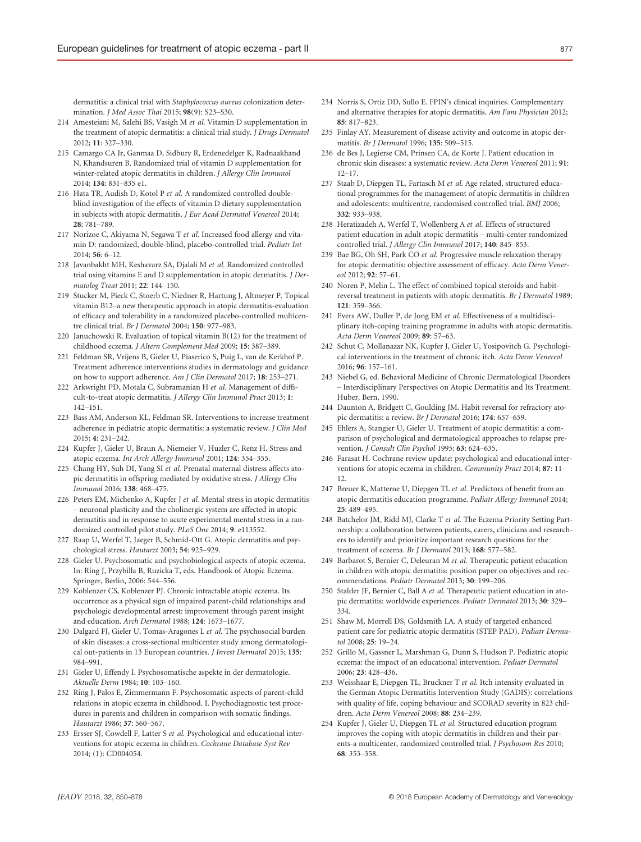dermatitis: a clinical trial with Staphylococcus aureus colonization determination. J Med Assoc Thai 2015; 98(9): S23–S30.

- 214 Amestejani M, Salehi BS, Vasigh M et al. Vitamin D supplementation in the treatment of atopic dermatitis: a clinical trial study. J Drugs Dermatol 2012; 11: 327–330.
- 215 Camargo CA Jr, Ganmaa D, Sidbury R, Erdenedelger K, Radnaakhand N, Khandsuren B. Randomized trial of vitamin D supplementation for winter-related atopic dermatitis in children. J Allergy Clin Immunol 2014; 134: 831–835 e1.
- 216 Hata TR, Audish D, Kotol P et al. A randomized controlled doubleblind investigation of the effects of vitamin D dietary supplementation in subjects with atopic dermatitis. J Eur Acad Dermatol Venereol 2014; 28: 781–789.
- 217 Norizoe C, Akiyama N, Segawa T et al. Increased food allergy and vitamin D: randomized, double-blind, placebo-controlled trial. Pediatr Int 2014; 56: 6–12.
- 218 Javanbakht MH, Keshavarz SA, Djalali M et al. Randomized controlled trial using vitamins E and D supplementation in atopic dermatitis. J Dermatolog Treat 2011; 22: 144–150.
- 219 Stucker M, Pieck C, Stoerb C, Niedner R, Hartung J, Altmeyer P. Topical vitamin B12–a new therapeutic approach in atopic dermatitis-evaluation of efficacy and tolerability in a randomized placebo-controlled multicentre clinical trial. Br J Dermatol 2004; 150: 977–983.
- 220 Januchowski R. Evaluation of topical vitamin B(12) for the treatment of childhood eczema. J Altern Complement Med 2009; 15: 387–389.
- 221 Feldman SR, Vrijens B, Gieler U, Piaserico S, Puig L, van de Kerkhof P. Treatment adherence interventions studies in dermatology and guidance on how to support adherence. Am J Clin Dermatol 2017; 18: 253–271.
- 222 Arkwright PD, Motala C, Subramanian H et al. Management of difficult-to-treat atopic dermatitis. J Allergy Clin Immunol Pract 2013; 1: 142–151.
- 223 Bass AM, Anderson KL, Feldman SR. Interventions to increase treatment adherence in pediatric atopic dermatitis: a systematic review. J Clin Med 2015; 4: 231–242.
- 224 Kupfer J, Gieler U, Braun A, Niemeier V, Huzler C, Renz H. Stress and atopic eczema. Int Arch Allergy Immunol 2001; 124: 354–355.
- 225 Chang HY, Suh DI, Yang SI et al. Prenatal maternal distress affects atopic dermatitis in offspring mediated by oxidative stress. J Allergy Clin Immunol 2016; 138: 468–475.
- 226 Peters EM, Michenko A, Kupfer J et al. Mental stress in atopic dermatitis – neuronal plasticity and the cholinergic system are affected in atopic dermatitis and in response to acute experimental mental stress in a randomized controlled pilot study. PLoS One 2014; 9: e113552.
- 227 Raap U, Werfel T, Jaeger B, Schmid-Ott G. Atopic dermatitis and psychological stress. Hautarzt 2003; 54: 925–929.
- 228 Gieler U. Psychosomatic and psychobiological aspects of atopic eczema. In: Ring J, Przybilla B, Ruzicka T, eds. Handbook of Atopic Eczema. Springer, Berlin, 2006: 544–556.
- 229 Koblenzer CS, Koblenzer PJ. Chronic intractable atopic eczema. Its occurrence as a physical sign of impaired parent-child relationships and psychologic developmental arrest: improvement through parent insight and education. Arch Dermatol 1988; 124: 1673–1677.
- 230 Dalgard FJ, Gieler U, Tomas-Aragones L et al. The psychosocial burden of skin diseases: a cross-sectional multicenter study among dermatological out-patients in 13 European countries. J Invest Dermatol 2015; 135: 984–991.
- 231 Gieler U, Effendy I. Psychosomatische aspekte in der dermatologie. Aktuelle Derm 1984; 10: 103–160.
- 232 Ring J, Palos E, Zimmermann F. Psychosomatic aspects of parent-child relations in atopic eczema in childhood. I. Psychodiagnostic test procedures in parents and children in comparison with somatic findings. Hautarzt 1986; 37: 560–567.
- 233 Ersser SJ, Cowdell F, Latter S et al. Psychological and educational interventions for atopic eczema in children. Cochrane Database Syst Rev 2014; (1): CD004054.
- 234 Norris S, Ortiz DD, Sullo E. FPIN's clinical inquiries. Complementary and alternative therapies for atopic dermatitis. Am Fam Physician 2012; 85: 817–823.
- 235 Finlay AY. Measurement of disease activity and outcome in atopic dermatitis. Br J Dermatol 1996; 135: 509–515.
- 236 de Bes J, Legierse CM, Prinsen CA, de Korte J. Patient education in chronic skin diseases: a systematic review. Acta Derm Venereol 2011; 91: 12–17.
- 237 Staab D, Diepgen TL, Fartasch M et al. Age related, structured educational programmes for the management of atopic dermatitis in children and adolescents: multicentre, randomised controlled trial. BMJ 2006; 332: 933–938.
- 238 Heratizadeh A, Werfel T, Wollenberg A et al. Effects of structured patient education in adult atopic dermatitis – multi-center randomized controlled trial. J Allergy Clin Immunol 2017; 140: 845–853.
- 239 Bae BG, Oh SH, Park CO et al. Progressive muscle relaxation therapy for atopic dermatitis: objective assessment of efficacy. Acta Derm Venereol 2012; 92: 57–61.
- 240 Noren P, Melin L. The effect of combined topical steroids and habitreversal treatment in patients with atopic dermatitis. Br J Dermatol 1989; 121: 359–366.
- 241 Evers AW, Duller P, de Jong EM et al. Effectiveness of a multidisciplinary itch-coping training programme in adults with atopic dermatitis. Acta Derm Venereol 2009; 89: 57–63.
- 242 Schut C, Mollanazar NK, Kupfer J, Gieler U, Yosipovitch G. Psychological interventions in the treatment of chronic itch. Acta Derm Venereol 2016; 96: 157–161.
- 243 Niebel G, ed. Behavioral Medicine of Chronic Dermatological Disorders – Interdisciplinary Perspectives on Atopic Dermatitis and Its Treatment. Huber, Bern, 1990.
- 244 Daunton A, Bridgett C, Goulding JM. Habit reversal for refractory atopic dermatitis: a review. Br J Dermatol 2016; 174: 657–659.
- 245 Ehlers A, Stangier U, Gieler U. Treatment of atopic dermatitis: a comparison of psychological and dermatological approaches to relapse prevention. J Consult Clin Psychol 1995; 63: 624-635.
- 246 Farasat H. Cochrane review update: psychological and educational interventions for atopic eczema in children. Community Pract 2014; 87: 11– 12.
- 247 Breuer K, Matterne U, Diepgen TL et al. Predictors of benefit from an atopic dermatitis education programme. Pediatr Allergy Immunol 2014; 25: 489–495.
- 248 Batchelor JM, Ridd MJ, Clarke T et al. The Eczema Priority Setting Partnership: a collaboration between patients, carers, clinicians and researchers to identify and prioritize important research questions for the treatment of eczema. Br J Dermatol 2013; 168: 577–582.
- 249 Barbarot S, Bernier C, Deleuran M et al. Therapeutic patient education in children with atopic dermatitis: position paper on objectives and recommendations. Pediatr Dermatol 2013; 30: 199–206.
- 250 Stalder JF, Bernier C, Ball A et al. Therapeutic patient education in atopic dermatitis: worldwide experiences. Pediatr Dermatol 2013; 30: 329– 334.
- 251 Shaw M, Morrell DS, Goldsmith LA. A study of targeted enhanced patient care for pediatric atopic dermatitis (STEP PAD). Pediatr Dermatol 2008; 25: 19–24.
- 252 Grillo M, Gassner L, Marshman G, Dunn S, Hudson P. Pediatric atopic eczema: the impact of an educational intervention. Pediatr Dermatol 2006; 23: 428–436.
- 253 Weisshaar E, Diepgen TL, Bruckner T et al. Itch intensity evaluated in the German Atopic Dermatitis Intervention Study (GADIS): correlations with quality of life, coping behaviour and SCORAD severity in 823 children. Acta Derm Venereol 2008; 88: 234–239.
- 254 Kupfer J, Gieler U, Diepgen TL et al. Structured education program improves the coping with atopic dermatitis in children and their parents-a multicenter, randomized controlled trial. J Psychosom Res 2010; 68: 353–358.